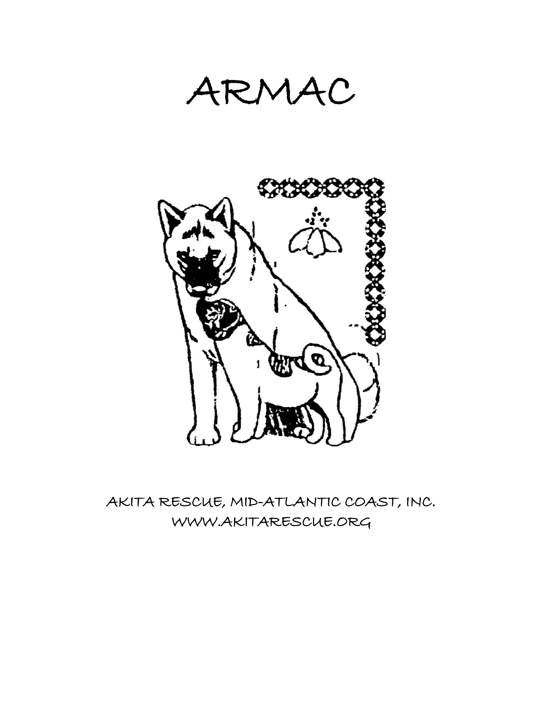



AKITA RESCUE, MID-ATLANTIC COAST, INC. WWW.AKITARESCUE.ORG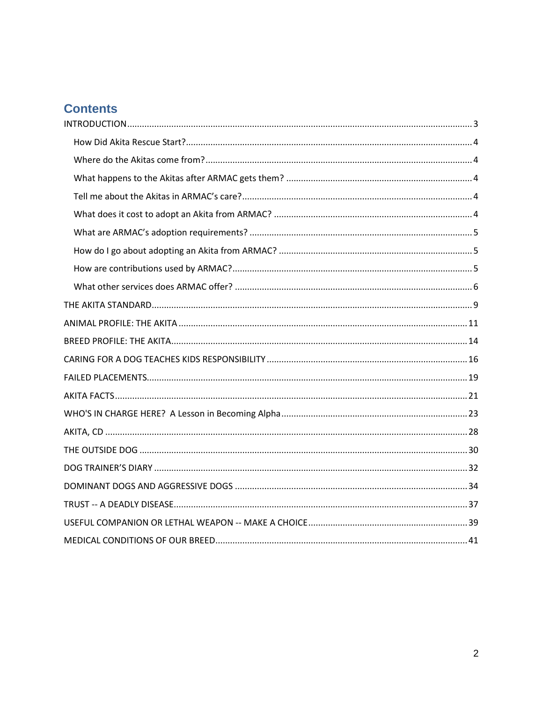# **Contents**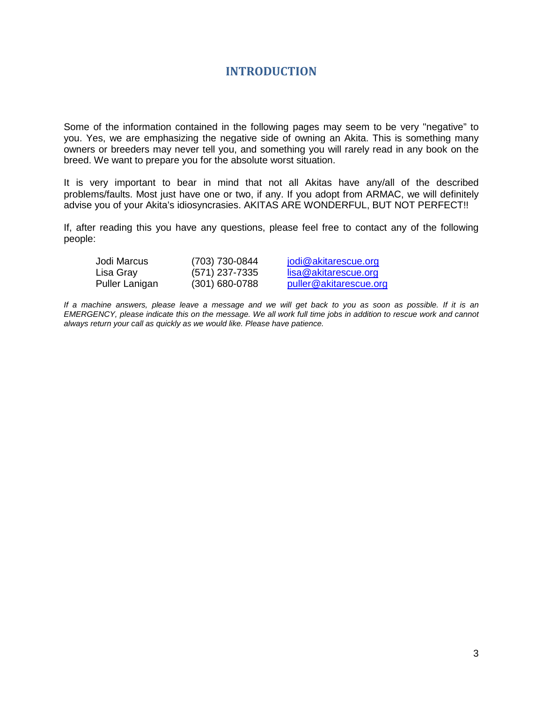## **INTRODUCTION**

<span id="page-2-0"></span>Some of the information contained in the following pages may seem to be very "negative" to you. Yes, we are emphasizing the negative side of owning an Akita. This is something many owners or breeders may never tell you, and something you will rarely read in any book on the breed. We want to prepare you for the absolute worst situation.

It is very important to bear in mind that not all Akitas have any/all of the described problems/faults. Most just have one or two, if any. If you adopt from ARMAC, we will definitely advise you of your Akita's idiosyncrasies. AKITAS ARE WONDERFUL, BUT NOT PERFECT!!

If, after reading this you have any questions, please feel free to contact any of the following people:

| Jodi Marcus    | (703) 730-0844   | jodi@akitarescue.org   |
|----------------|------------------|------------------------|
| Lisa Gray      | (571) 237-7335   | lisa@akitarescue.org   |
| Puller Lanigan | $(301)$ 680-0788 | puller@akitarescue.org |

*If a machine answers, please leave a message and we will get back to you as soon as possible. If it is an EMERGENCY, please indicate this on the message. We all work full time jobs in addition to rescue work and cannot always return your call as quickly as we would like. Please have patience.*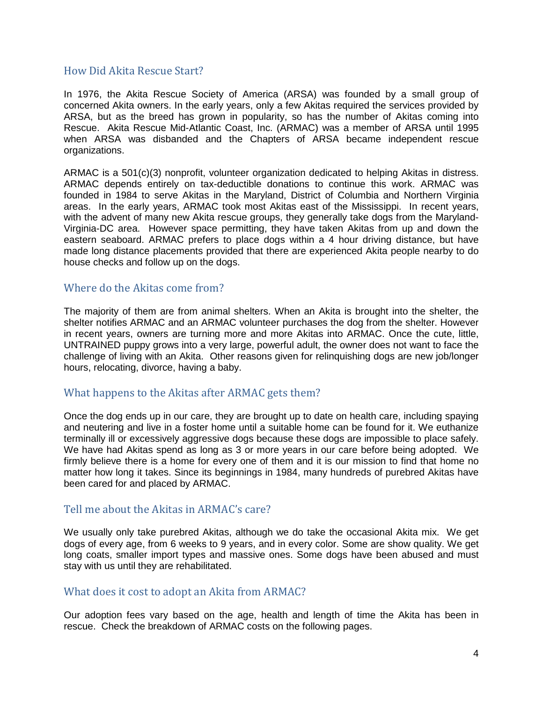## <span id="page-3-0"></span>How Did Akita Rescue Start?

In 1976, the Akita Rescue Society of America (ARSA) was founded by a small group of concerned Akita owners. In the early years, only a few Akitas required the services provided by ARSA, but as the breed has grown in popularity, so has the number of Akitas coming into Rescue. Akita Rescue Mid-Atlantic Coast, Inc. (ARMAC) was a member of ARSA until 1995 when ARSA was disbanded and the Chapters of ARSA became independent rescue organizations.

ARMAC is a 501(c)(3) nonprofit, volunteer organization dedicated to helping Akitas in distress. ARMAC depends entirely on tax-deductible donations to continue this work. ARMAC was founded in 1984 to serve Akitas in the Maryland, District of Columbia and Northern Virginia areas. In the early years, ARMAC took most Akitas east of the Mississippi. In recent years, with the advent of many new Akita rescue groups, they generally take dogs from the Maryland-Virginia-DC area. However space permitting, they have taken Akitas from up and down the eastern seaboard. ARMAC prefers to place dogs within a 4 hour driving distance, but have made long distance placements provided that there are experienced Akita people nearby to do house checks and follow up on the dogs.

## <span id="page-3-1"></span>Where do the Akitas come from?

The majority of them are from animal shelters. When an Akita is brought into the shelter, the shelter notifies ARMAC and an ARMAC volunteer purchases the dog from the shelter. However in recent years, owners are turning more and more Akitas into ARMAC. Once the cute, little, UNTRAINED puppy grows into a very large, powerful adult, the owner does not want to face the challenge of living with an Akita. Other reasons given for relinquishing dogs are new job/longer hours, relocating, divorce, having a baby.

## <span id="page-3-2"></span>What happens to the Akitas after ARMAC gets them?

Once the dog ends up in our care, they are brought up to date on health care, including spaying and neutering and live in a foster home until a suitable home can be found for it. We euthanize terminally ill or excessively aggressive dogs because these dogs are impossible to place safely. We have had Akitas spend as long as 3 or more years in our care before being adopted. We firmly believe there is a home for every one of them and it is our mission to find that home no matter how long it takes. Since its beginnings in 1984, many hundreds of purebred Akitas have been cared for and placed by ARMAC.

## <span id="page-3-3"></span>Tell me about the Akitas in ARMAC's care?

We usually only take purebred Akitas, although we do take the occasional Akita mix. We get dogs of every age, from 6 weeks to 9 years, and in every color. Some are show quality. We get long coats, smaller import types and massive ones. Some dogs have been abused and must stay with us until they are rehabilitated.

## <span id="page-3-4"></span>What does it cost to adopt an Akita from ARMAC?

Our adoption fees vary based on the age, health and length of time the Akita has been in rescue. Check the breakdown of ARMAC costs on the following pages.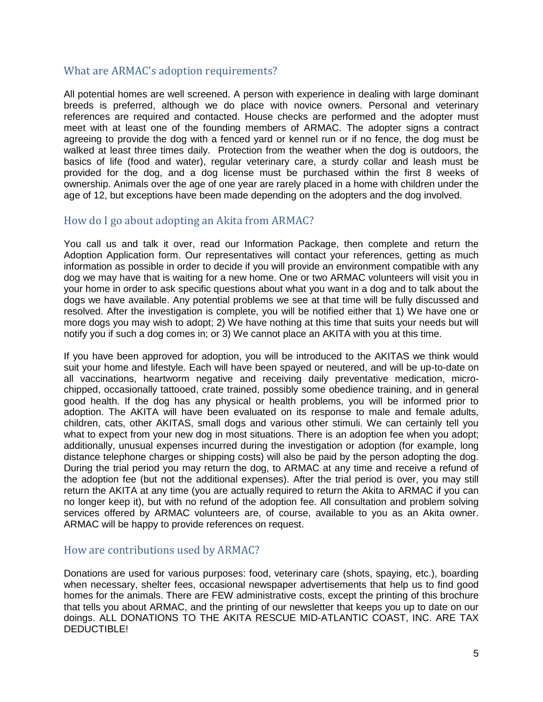## <span id="page-4-0"></span>What are ARMAC's adoption requirements?

All potential homes are well screened. A person with experience in dealing with large dominant breeds is preferred, although we do place with novice owners. Personal and veterinary references are required and contacted. House checks are performed and the adopter must meet with at least one of the founding members of ARMAC. The adopter signs a contract agreeing to provide the dog with a fenced yard or kennel run or if no fence, the dog must be walked at least three times daily. Protection from the weather when the dog is outdoors, the basics of life (food and water), regular veterinary care, a sturdy collar and leash must be provided for the dog, and a dog license must be purchased within the first 8 weeks of ownership. Animals over the age of one year are rarely placed in a home with children under the age of 12, but exceptions have been made depending on the adopters and the dog involved.

## <span id="page-4-1"></span>How do I go about adopting an Akita from ARMAC?

You call us and talk it over, read our Information Package, then complete and return the Adoption Application form. Our representatives will contact your references, getting as much information as possible in order to decide if you will provide an environment compatible with any dog we may have that is waiting for a new home. One or two ARMAC volunteers will visit you in your home in order to ask specific questions about what you want in a dog and to talk about the dogs we have available. Any potential problems we see at that time will be fully discussed and resolved. After the investigation is complete, you will be notified either that 1) We have one or more dogs you may wish to adopt; 2) We have nothing at this time that suits your needs but will notify you if such a dog comes in; or 3) We cannot place an AKITA with you at this time.

If you have been approved for adoption, you will be introduced to the AKITAS we think would suit your home and lifestyle. Each will have been spayed or neutered, and will be up-to-date on all vaccinations, heartworm negative and receiving daily preventative medication, microchipped, occasionally tattooed, crate trained, possibly some obedience training, and in general good health. If the dog has any physical or health problems, you will be informed prior to adoption. The AKITA will have been evaluated on its response to male and female adults, children, cats, other AKITAS, small dogs and various other stimuli. We can certainly tell you what to expect from your new dog in most situations. There is an adoption fee when you adopt; additionally, unusual expenses incurred during the investigation or adoption (for example, long distance telephone charges or shipping costs) will also be paid by the person adopting the dog. During the trial period you may return the dog, to ARMAC at any time and receive a refund of the adoption fee (but not the additional expenses). After the trial period is over, you may still return the AKITA at any time (you are actually required to return the Akita to ARMAC if you can no longer keep it), but with no refund of the adoption fee. All consultation and problem solving services offered by ARMAC volunteers are, of course, available to you as an Akita owner. ARMAC will be happy to provide references on request.

## <span id="page-4-2"></span>How are contributions used by ARMAC?

Donations are used for various purposes: food, veterinary care (shots, spaying, etc.), boarding when necessary, shelter fees, occasional newspaper advertisements that help us to find good homes for the animals. There are FEW administrative costs, except the printing of this brochure that tells you about ARMAC, and the printing of our newsletter that keeps you up to date on our doings. ALL DONATIONS TO THE AKITA RESCUE MID-ATLANTIC COAST, INC. ARE TAX DEDUCTIBLE!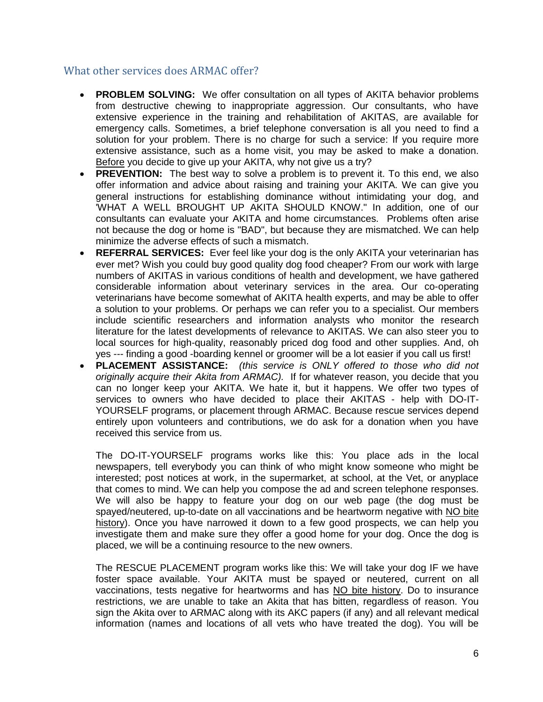## <span id="page-5-0"></span>What other services does ARMAC offer?

- **PROBLEM SOLVING:** We offer consultation on all types of AKITA behavior problems from destructive chewing to inappropriate aggression. Our consultants, who have extensive experience in the training and rehabilitation of AKITAS, are available for emergency calls. Sometimes, a brief telephone conversation is all you need to find a solution for your problem. There is no charge for such a service: If you require more extensive assistance, such as a home visit, you may be asked to make a donation. Before you decide to give up your AKITA, why not give us a try?
- **PREVENTION:** The best way to solve a problem is to prevent it. To this end, we also offer information and advice about raising and training your AKITA. We can give you general instructions for establishing dominance without intimidating your dog, and 'WHAT A WELL BROUGHT UP AKITA SHOULD KNOW." In addition, one of our consultants can evaluate your AKITA and home circumstances. Problems often arise not because the dog or home is "BAD", but because they are mismatched. We can help minimize the adverse effects of such a mismatch.
- **REFERRAL SERVICES:** Ever feel like your dog is the only AKITA your veterinarian has ever met? Wish you could buy good quality dog food cheaper? From our work with large numbers of AKITAS in various conditions of health and development, we have gathered considerable information about veterinary services in the area. Our co-operating veterinarians have become somewhat of AKITA health experts, and may be able to offer a solution to your problems. Or perhaps we can refer you to a specialist. Our members include scientific researchers and information analysts who monitor the research literature for the latest developments of relevance to AKITAS. We can also steer you to local sources for high-quality, reasonably priced dog food and other supplies. And, oh yes --- finding a good -boarding kennel or groomer will be a lot easier if you call us first!
- **PLACEMENT ASSISTANCE:** *(this service is ONLY offered to those who did not originally acquire their Akita from ARMAC).* If for whatever reason, you decide that you can no longer keep your AKITA. We hate it, but it happens. We offer two types of services to owners who have decided to place their AKITAS - help with DO-IT-YOURSELF programs, or placement through ARMAC. Because rescue services depend entirely upon volunteers and contributions, we do ask for a donation when you have received this service from us.

The DO-IT-YOURSELF programs works like this: You place ads in the local newspapers, tell everybody you can think of who might know someone who might be interested; post notices at work, in the supermarket, at school, at the Vet, or anyplace that comes to mind. We can help you compose the ad and screen telephone responses. We will also be happy to feature your dog on our web page (the dog must be spayed/neutered, up-to-date on all vaccinations and be heartworm negative with NO bite history). Once you have narrowed it down to a few good prospects, we can help you investigate them and make sure they offer a good home for your dog. Once the dog is placed, we will be a continuing resource to the new owners.

The RESCUE PLACEMENT program works like this: We will take your dog IF we have foster space available. Your AKITA must be spayed or neutered, current on all vaccinations, tests negative for heartworms and has NO bite history. Do to insurance restrictions, we are unable to take an Akita that has bitten, regardless of reason. You sign the Akita over to ARMAC along with its AKC papers (if any) and all relevant medical information (names and locations of all vets who have treated the dog). You will be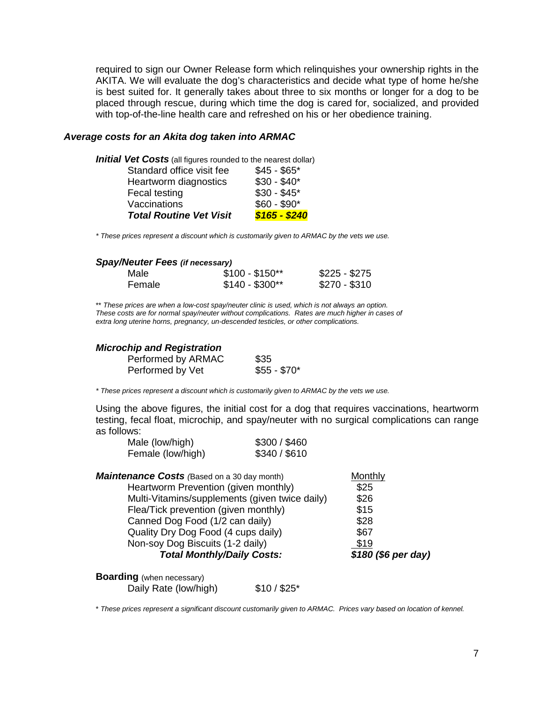required to sign our Owner Release form which relinquishes your ownership rights in the AKITA. We will evaluate the dog's characteristics and decide what type of home he/she is best suited for. It generally takes about three to six months or longer for a dog to be placed through rescue, during which time the dog is cared for, socialized, and provided with top-of-the-line health care and refreshed on his or her obedience training.

#### *Average costs for an Akita dog taken into ARMAC*

| <b>Initial Vet Costs</b> (all figures rounded to the nearest dollar) |               |
|----------------------------------------------------------------------|---------------|
| Standard office visit fee                                            | $$45 - $65"$  |
| Heartworm diagnostics                                                | $$30 - $40*$  |
| Fecal testing                                                        | $$30 - $45"$  |
| Vaccinations                                                         | $$60 - $90*$  |
| <b>Total Routine Vet Visit</b>                                       | $$165 - $240$ |

*\* These prices represent a discount which is customarily given to ARMAC by the vets we use.*

#### *Spay/Neuter Fees (if necessary)*

| Male   | $$100 - $150**$ | $$225 - $275$ |
|--------|-----------------|---------------|
| Female | $$140 - $300**$ | \$270 - \$310 |

\*\* *These prices are when a low-cost spay/neuter clinic is used, which is not always an option. These costs are for normal spay/neuter without complications. Rates are much higher in cases of extra long uterine horns, pregnancy, un-descended testicles, or other complications.*

#### *Microchip and Registration*

| Performed by ARMAC | \$35         |
|--------------------|--------------|
| Performed by Vet   | $$55 - $70*$ |

*\* These prices represent a discount which is customarily given to ARMAC by the vets we use.*

Using the above figures, the initial cost for a dog that requires vaccinations, heartworm testing, fecal float, microchip, and spay/neuter with no surgical complications can range as follows:

| Male (low/high)   | \$300 / \$460 |
|-------------------|---------------|
| Female (low/high) | \$340 / \$610 |

| <b>Maintenance Costs</b> (Based on a 30 day month) | Monthly             |
|----------------------------------------------------|---------------------|
| Heartworm Prevention (given monthly)               | \$25                |
| Multi-Vitamins/supplements (given twice daily)     | \$26                |
| Flea/Tick prevention (given monthly)               | \$15                |
| Canned Dog Food (1/2 can daily)                    | \$28                |
| Quality Dry Dog Food (4 cups daily)                | \$67                |
| Non-soy Dog Biscuits (1-2 daily)                   | \$19                |
| <b>Total Monthly/Daily Costs:</b>                  | \$180 (\$6 per day) |
|                                                    |                     |

| <b>Boarding</b> (when necessary) |              |
|----------------------------------|--------------|
| Daily Rate (low/high)            | $$10/$ \$25* |

\* *These prices represent a significant discount customarily given to ARMAC. Prices vary based on location of kennel.*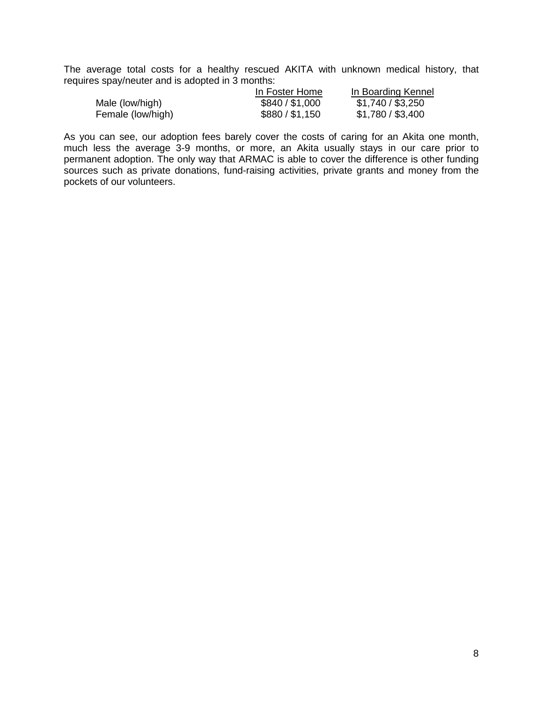The average total costs for a healthy rescued AKITA with unknown medical history, that requires spay/neuter and is adopted in 3 months:

|                   | In Foster Home  | In Boarding Kennel |
|-------------------|-----------------|--------------------|
| Male (low/high)   | \$840 / \$1,000 | \$1,740 / \$3,250  |
| Female (low/high) | \$880 / \$1,150 | \$1,780 / \$3,400  |

As you can see, our adoption fees barely cover the costs of caring for an Akita one month, much less the average 3-9 months, or more, an Akita usually stays in our care prior to permanent adoption. The only way that ARMAC is able to cover the difference is other funding sources such as private donations, fund-raising activities, private grants and money from the pockets of our volunteers.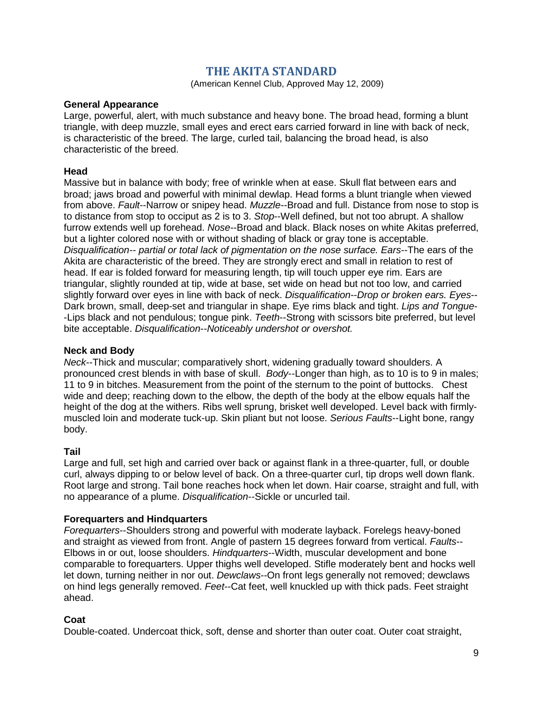## **THE AKITA STANDARD**

(American Kennel Club, Approved May 12, 2009)

#### <span id="page-8-0"></span>**General Appearance**

Large, powerful, alert, with much substance and heavy bone. The broad head, forming a blunt triangle, with deep muzzle, small eyes and erect ears carried forward in line with back of neck, is characteristic of the breed. The large, curled tail, balancing the broad head, is also characteristic of the breed.

#### **Head**

Massive but in balance with body; free of wrinkle when at ease. Skull flat between ears and broad; jaws broad and powerful with minimal dewlap. Head forms a blunt triangle when viewed from above. *Fault*--Narrow or snipey head. *Muzzle*--Broad and full. Distance from nose to stop is to distance from stop to occiput as 2 is to 3. *Stop*--Well defined, but not too abrupt. A shallow furrow extends well up forehead. *Nose*--Broad and black. Black noses on white Akitas preferred, but a lighter colored nose with or without shading of black or gray tone is acceptable. *Disqualification-- partial or total lack of pigmentation on the nose surface. Ears*--The ears of the Akita are characteristic of the breed. They are strongly erect and small in relation to rest of head. If ear is folded forward for measuring length, tip will touch upper eye rim. Ears are triangular, slightly rounded at tip, wide at base, set wide on head but not too low, and carried slightly forward over eyes in line with back of neck. *Disqualification*--*Drop or broken ears. Eyes*-- Dark brown, small, deep-set and triangular in shape. Eye rims black and tight. *Lips and Tongue*- -Lips black and not pendulous; tongue pink. *Teeth*--Strong with scissors bite preferred, but level bite acceptable. *Disqualification*--*Noticeably undershot or overshot.*

#### **Neck and Body**

*Neck*--Thick and muscular; comparatively short, widening gradually toward shoulders. A pronounced crest blends in with base of skull. *Body*--Longer than high, as to 10 is to 9 in males; 11 to 9 in bitches. Measurement from the point of the sternum to the point of buttocks. Chest wide and deep; reaching down to the elbow, the depth of the body at the elbow equals half the height of the dog at the withers. Ribs well sprung, brisket well developed. Level back with firmlymuscled loin and moderate tuck-up. Skin pliant but not loose. *Serious Faults*--Light bone, rangy body.

#### **Tail**

Large and full, set high and carried over back or against flank in a three-quarter, full, or double curl, always dipping to or below level of back. On a three-quarter curl, tip drops well down flank. Root large and strong. Tail bone reaches hock when let down. Hair coarse, straight and full, with no appearance of a plume. *Disqualification*--Sickle or uncurled tail.

#### **Forequarters and Hindquarters**

*Forequarters*--Shoulders strong and powerful with moderate layback. Forelegs heavy-boned and straight as viewed from front. Angle of pastern 15 degrees forward from vertical. *Faults*-- Elbows in or out, loose shoulders. *Hindquarters*--Width, muscular development and bone comparable to forequarters. Upper thighs well developed. Stifle moderately bent and hocks well let down, turning neither in nor out. *Dewclaws*--On front legs generally not removed; dewclaws on hind legs generally removed. *Feet*--Cat feet, well knuckled up with thick pads. Feet straight ahead.

#### **Coat**

Double-coated. Undercoat thick, soft, dense and shorter than outer coat. Outer coat straight,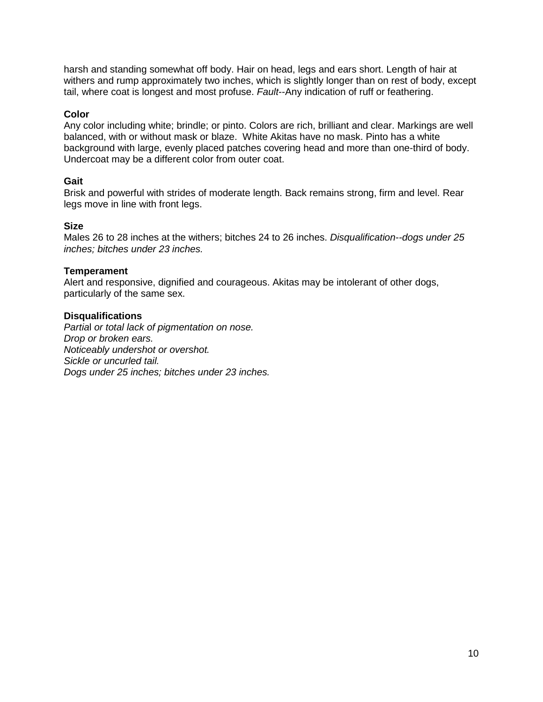harsh and standing somewhat off body. Hair on head, legs and ears short. Length of hair at withers and rump approximately two inches, which is slightly longer than on rest of body, except tail, where coat is longest and most profuse. *Fault*--Any indication of ruff or feathering.

#### **Color**

Any color including white; brindle; or pinto. Colors are rich, brilliant and clear. Markings are well balanced, with or without mask or blaze. White Akitas have no mask. Pinto has a white background with large, evenly placed patches covering head and more than one-third of body. Undercoat may be a different color from outer coat.

#### **Gait**

Brisk and powerful with strides of moderate length. Back remains strong, firm and level. Rear legs move in line with front legs.

#### **Size**

Males 26 to 28 inches at the withers; bitches 24 to 26 inches. *Disqualification--dogs under 25 inches; bitches under 23 inches.*

#### **Temperament**

Alert and responsive, dignified and courageous. Akitas may be intolerant of other dogs, particularly of the same sex.

#### **Disqualifications**

*Partia*l *or total lack of pigmentation on nose. Drop or broken ears. Noticeably undershot or overshot. Sickle or uncurled tail. Dogs under 25 inches; bitches under 23 inches.*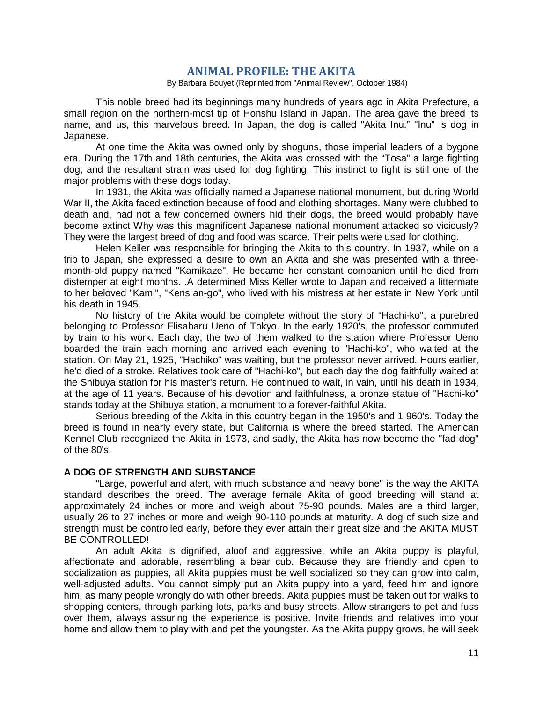#### **ANIMAL PROFILE: THE AKITA**

By Barbara Bouyet (Reprinted from "Animal Review", October 1984)

<span id="page-10-0"></span>This noble breed had its beginnings many hundreds of years ago in Akita Prefecture, a small region on the northern-most tip of Honshu Island in Japan. The area gave the breed its name, and us, this marvelous breed. In Japan, the dog is called "Akita Inu." "Inu" is dog in Japanese.

At one time the Akita was owned only by shoguns, those imperial leaders of a bygone era. During the 17th and 18th centuries, the Akita was crossed with the "Tosa" a large fighting dog, and the resultant strain was used for dog fighting. This instinct to fight is still one of the major problems with these dogs today.

In 1931, the Akita was officially named a Japanese national monument, but during World War II, the Akita faced extinction because of food and clothing shortages. Many were clubbed to death and, had not a few concerned owners hid their dogs, the breed would probably have become extinct Why was this magnificent Japanese national monument attacked so viciously? They were the largest breed of dog and food was scarce. Their pelts were used for clothing.

Helen Keller was responsible for bringing the Akita to this country. In 1937, while on a trip to Japan, she expressed a desire to own an Akita and she was presented with a threemonth-old puppy named "Kamikaze". He became her constant companion until he died from distemper at eight months. .A determined Miss Keller wrote to Japan and received a littermate to her beloved "Kami", "Kens an-go", who lived with his mistress at her estate in New York until his death in 1945.

No history of the Akita would be complete without the story of "Hachi-ko", a purebred belonging to Professor Elisabaru Ueno of Tokyo. In the early 1920's, the professor commuted by train to his work. Each day, the two of them walked to the station where Professor Ueno boarded the train each morning and arrived each evening to "Hachi-ko", who waited at the station. On May 21, 1925, "Hachiko" was waiting, but the professor never arrived. Hours earlier, he'd died of a stroke. Relatives took care of "Hachi-ko", but each day the dog faithfully waited at the Shibuya station for his master's return. He continued to wait, in vain, until his death in 1934, at the age of 11 years. Because of his devotion and faithfulness, a bronze statue of "Hachi-ko" stands today at the Shibuya station, a monument to a forever-faithful Akita.

Serious breeding of the Akita in this country began in the 1950's and 1 960's. Today the breed is found in nearly every state, but California is where the breed started. The American Kennel Club recognized the Akita in 1973, and sadly, the Akita has now become the "fad dog" of the 80's.

#### **A DOG OF STRENGTH AND SUBSTANCE**

"Large, powerful and alert, with much substance and heavy bone" is the way the AKITA standard describes the breed. The average female Akita of good breeding will stand at approximately 24 inches or more and weigh about 75-90 pounds. Males are a third larger, usually 26 to 27 inches or more and weigh 90-110 pounds at maturity. A dog of such size and strength must be controlled early, before they ever attain their great size and the AKITA MUST BE CONTROLLED!

An adult Akita is dignified, aloof and aggressive, while an Akita puppy is playful, affectionate and adorable, resembling a bear cub. Because they are friendly and open to socialization as puppies, all Akita puppies must be well socialized so they can grow into calm, well-adjusted adults. You cannot simply put an Akita puppy into a yard, feed him and ignore him, as many people wrongly do with other breeds. Akita puppies must be taken out for walks to shopping centers, through parking lots, parks and busy streets. Allow strangers to pet and fuss over them, always assuring the experience is positive. Invite friends and relatives into your home and allow them to play with and pet the youngster. As the Akita puppy grows, he will seek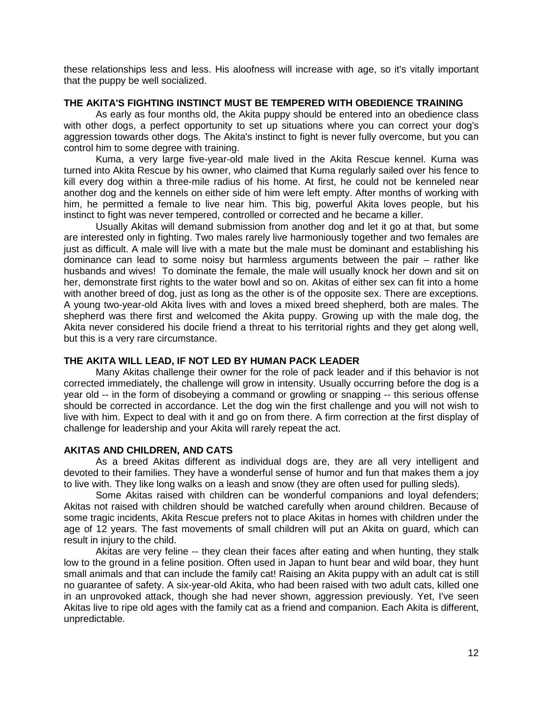these relationships less and less. His aloofness will increase with age, so it's vitally important that the puppy be well socialized.

#### **THE AKITA'S FIGHTING INSTINCT MUST BE TEMPERED WITH OBEDIENCE TRAINING**

As early as four months old, the Akita puppy should be entered into an obedience class with other dogs, a perfect opportunity to set up situations where you can correct your dog's aggression towards other dogs. The Akita's instinct to fight is never fully overcome, but you can control him to some degree with training.

Kuma, a very large five-year-old male lived in the Akita Rescue kennel. Kuma was turned into Akita Rescue by his owner, who claimed that Kuma regularly sailed over his fence to kill every dog within a three-mile radius of his home. At first, he could not be kenneled near another dog and the kennels on either side of him were left empty. After months of working with him, he permitted a female to live near him. This big, powerful Akita loves people, but his instinct to fight was never tempered, controlled or corrected and he became a killer.

Usually Akitas will demand submission from another dog and let it go at that, but some are interested only in fighting. Two males rarely live harmoniously together and two females are just as difficult. A male will live with a mate but the male must be dominant and establishing his dominance can lead to some noisy but harmless arguments between the pair – rather like husbands and wives! To dominate the female, the male will usually knock her down and sit on her, demonstrate first rights to the water bowl and so on. Akitas of either sex can fit into a home with another breed of dog, just as Iong as the other is of the opposite sex. There are exceptions. A young two-year-old Akita lives with and loves a mixed breed shepherd, both are males. The shepherd was there first and welcomed the Akita puppy. Growing up with the male dog, the Akita never considered his docile friend a threat to his territorial rights and they get along well, but this is a very rare circumstance.

## **THE AKITA WILL LEAD, IF NOT LED BY HUMAN PACK LEADER**

Many Akitas challenge their owner for the role of pack leader and if this behavior is not corrected immediately, the challenge will grow in intensity. Usually occurring before the dog is a year old -- in the form of disobeying a command or growling or snapping -- this serious offense should be corrected in accordance. Let the dog win the first challenge and you will not wish to live with him. Expect to deal with it and go on from there. A firm correction at the first display of challenge for leadership and your Akita will rarely repeat the act.

## **AKITAS AND CHILDREN, AND CATS**

As a breed Akitas different as individual dogs are, they are all very intelligent and devoted to their families. They have a wonderful sense of humor and fun that makes them a joy to live with. They like long walks on a leash and snow (they are often used for pulling sleds).

Some Akitas raised with children can be wonderful companions and loyal defenders; Akitas not raised with children should be watched carefully when around children. Because of some tragic incidents, Akita Rescue prefers not to place Akitas in homes with children under the age of 12 years. The fast movements of small children will put an Akita on guard, which can result in injury to the child.

Akitas are very feline -- they clean their faces after eating and when hunting, they stalk low to the ground in a feline position. Often used in Japan to hunt bear and wild boar, they hunt small animals and that can include the family cat! Raising an Akita puppy with an adult cat is still no guarantee of safety. A six-year-old Akita, who had been raised with two adult cats, killed one in an unprovoked attack, though she had never shown, aggression previously. Yet, I've seen Akitas live to ripe old ages with the family cat as a friend and companion. Each Akita is different, unpredictable.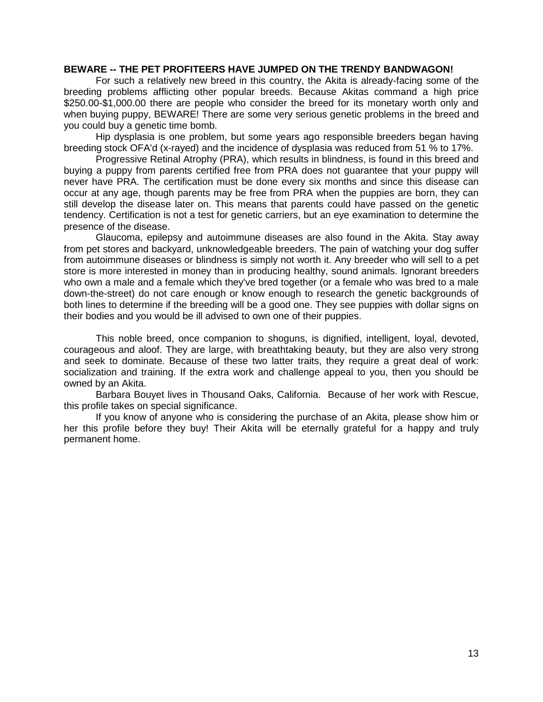## **BEWARE -- THE PET PROFITEERS HAVE JUMPED ON THE TRENDY BANDWAGON!**

For such a relatively new breed in this country, the Akita is already-facing some of the breeding problems afflicting other popular breeds. Because Akitas command a high price \$250.00-\$1,000.00 there are people who consider the breed for its monetary worth only and when buying puppy, BEWARE! There are some very serious genetic problems in the breed and you could buy a genetic time bomb.

Hip dysplasia is one problem, but some years ago responsible breeders began having breeding stock OFA'd (x-rayed) and the incidence of dysplasia was reduced from 51 % to 17%.

Progressive Retinal Atrophy (PRA), which results in blindness, is found in this breed and buying a puppy from parents certified free from PRA does not guarantee that your puppy will never have PRA. The certification must be done every six months and since this disease can occur at any age, though parents may be free from PRA when the puppies are born, they can still develop the disease later on. This means that parents could have passed on the genetic tendency. Certification is not a test for genetic carriers, but an eye examination to determine the presence of the disease.

Glaucoma, epilepsy and autoimmune diseases are also found in the Akita. Stay away from pet stores and backyard, unknowledgeable breeders. The pain of watching your dog suffer from autoimmune diseases or blindness is simply not worth it. Any breeder who will sell to a pet store is more interested in money than in producing healthy, sound animals. Ignorant breeders who own a male and a female which they've bred together (or a female who was bred to a male down-the-street) do not care enough or know enough to research the genetic backgrounds of both lines to determine if the breeding will be a good one. They see puppies with dollar signs on their bodies and you would be ill advised to own one of their puppies.

This noble breed, once companion to shoguns, is dignified, intelligent, loyal, devoted, courageous and aloof. They are large, with breathtaking beauty, but they are also very strong and seek to dominate. Because of these two latter traits, they require a great deal of work: socialization and training. If the extra work and challenge appeal to you, then you should be owned by an Akita.

Barbara Bouyet lives in Thousand Oaks, California. Because of her work with Rescue, this profile takes on special significance.

If you know of anyone who is considering the purchase of an Akita, please show him or her this profile before they buy! Their Akita will be eternally grateful for a happy and truly permanent home.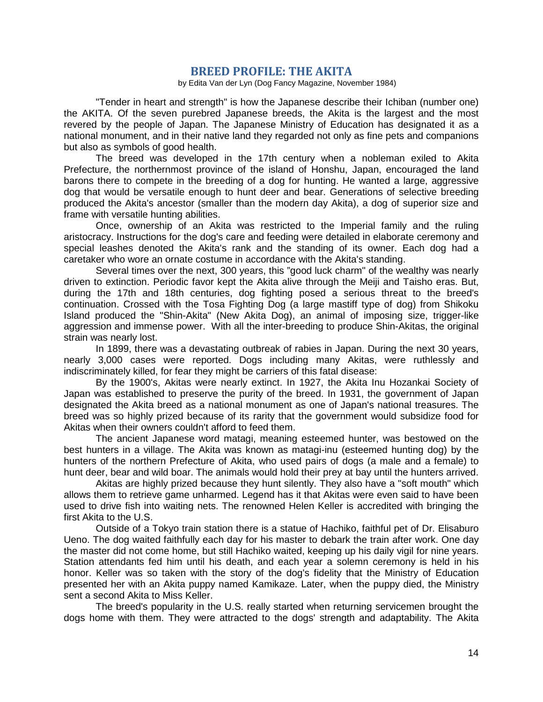#### **BREED PROFILE: THE AKITA**

by Edita Van der Lyn (Dog Fancy Magazine, November 1984)

<span id="page-13-0"></span>"Tender in heart and strength" is how the Japanese describe their Ichiban (number one) the AKITA. Of the seven purebred Japanese breeds, the Akita is the largest and the most revered by the people of Japan. The Japanese Ministry of Education has designated it as a national monument, and in their native land they regarded not only as fine pets and companions but also as symbols of good health.

The breed was developed in the 17th century when a nobleman exiled to Akita Prefecture, the northernmost province of the island of Honshu, Japan, encouraged the land barons there to compete in the breeding of a dog for hunting. He wanted a large, aggressive dog that would be versatile enough to hunt deer and bear. Generations of selective breeding produced the Akita's ancestor (smaller than the modern day Akita), a dog of superior size and frame with versatile hunting abilities.

Once, ownership of an Akita was restricted to the Imperial family and the ruling aristocracy. Instructions for the dog's care and feeding were detailed in elaborate ceremony and special leashes denoted the Akita's rank and the standing of its owner. Each dog had a caretaker who wore an ornate costume in accordance with the Akita's standing.

Several times over the next, 300 years, this "good luck charm" of the wealthy was nearly driven to extinction. Periodic favor kept the Akita alive through the Meiji and Taisho eras. But, during the 17th and 18th centuries, dog fighting posed a serious threat to the breed's continuation. Crossed with the Tosa Fighting Dog (a large mastiff type of dog) from Shikoku Island produced the "Shin-Akita" (New Akita Dog), an animal of imposing size, trigger-like aggression and immense power. With all the inter-breeding to produce Shin-Akitas, the original strain was nearly lost.

In 1899, there was a devastating outbreak of rabies in Japan. During the next 30 years, nearly 3,000 cases were reported. Dogs including many Akitas, were ruthlessly and indiscriminately killed, for fear they might be carriers of this fatal disease:

By the 1900's, Akitas were nearly extinct. In 1927, the Akita Inu Hozankai Society of Japan was established to preserve the purity of the breed. In 1931, the government of Japan designated the Akita breed as a national monument as one of Japan's national treasures. The breed was so highly prized because of its rarity that the government would subsidize food for Akitas when their owners couldn't afford to feed them.

The ancient Japanese word matagi, meaning esteemed hunter, was bestowed on the best hunters in a village. The Akita was known as matagi-inu (esteemed hunting dog) by the hunters of the northern Prefecture of Akita, who used pairs of dogs (a male and a female) to hunt deer, bear and wild boar. The animals would hold their prey at bay until the hunters arrived.

Akitas are highly prized because they hunt silently. They also have a "soft mouth" which allows them to retrieve game unharmed. Legend has it that Akitas were even said to have been used to drive fish into waiting nets. The renowned Helen Keller is accredited with bringing the first Akita to the U.S.

Outside of a Tokyo train station there is a statue of Hachiko, faithful pet of Dr. Elisaburo Ueno. The dog waited faithfully each day for his master to debark the train after work. One day the master did not come home, but still Hachiko waited, keeping up his daily vigil for nine years. Station attendants fed him until his death, and each year a solemn ceremony is held in his honor. Keller was so taken with the story of the dog's fidelity that the Ministry of Education presented her with an Akita puppy named Kamikaze. Later, when the puppy died, the Ministry sent a second Akita to Miss Keller.

The breed's popularity in the U.S. really started when returning servicemen brought the dogs home with them. They were attracted to the dogs' strength and adaptability. The Akita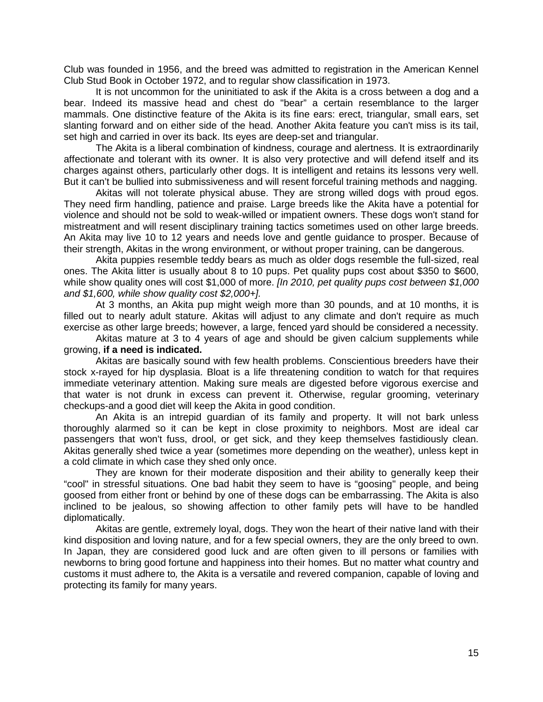Club was founded in 1956, and the breed was admitted to registration in the American Kennel Club Stud Book in October 1972, and to regular show classification in 1973.

It is not uncommon for the uninitiated to ask if the Akita is a cross between a dog and a bear. Indeed its massive head and chest do "bear" a certain resemblance to the larger mammals. One distinctive feature of the Akita is its fine ears: erect, triangular, small ears, set slanting forward and on either side of the head. Another Akita feature you can't miss is its tail, set high and carried in over its back. Its eyes are deep-set and triangular.

The Akita is a liberal combination of kindness, courage and alertness. It is extraordinarily affectionate and tolerant with its owner. It is also very protective and will defend itself and its charges against others, particularly other dogs. It is intelligent and retains its lessons very well. But it can't be bullied into submissiveness and will resent forceful training methods and nagging.

Akitas will not tolerate physical abuse. They are strong willed dogs with proud egos. They need firm handling, patience and praise. Large breeds like the Akita have a potential for violence and should not be sold to weak-willed or impatient owners. These dogs won't stand for mistreatment and will resent disciplinary training tactics sometimes used on other large breeds. An Akita may live 10 to 12 years and needs love and gentle guidance to prosper. Because of their strength, Akitas in the wrong environment, or without proper training, can be dangerous.

Akita puppies resemble teddy bears as much as older dogs resemble the full-sized, real ones. The Akita litter is usually about 8 to 10 pups. Pet quality pups cost about \$350 to \$600, while show quality ones will cost \$1,000 of more. *[In 2010, pet quality pups cost between \$1,000 and \$1,600, while show quality cost \$2,000+].*

At 3 months, an Akita pup might weigh more than 30 pounds, and at 10 months, it is filled out to nearly adult stature. Akitas will adjust to any climate and don't require as much exercise as other large breeds; however, a large, fenced yard should be considered a necessity.

Akitas mature at 3 to 4 years of age and should be given calcium supplements while growing, **if a need is indicated.**

Akitas are basically sound with few health problems. Conscientious breeders have their stock x-rayed for hip dysplasia. Bloat is a life threatening condition to watch for that requires immediate veterinary attention. Making sure meals are digested before vigorous exercise and that water is not drunk in excess can prevent it. Otherwise, regular grooming, veterinary checkups-and a good diet will keep the Akita in good condition.

An Akita is an intrepid guardian of its family and property. It will not bark unless thoroughly alarmed so it can be kept in close proximity to neighbors. Most are ideal car passengers that won't fuss, drool, or get sick, and they keep themselves fastidiously clean. Akitas generally shed twice a year (sometimes more depending on the weather), unless kept in a cold climate in which case they shed only once.

They are known for their moderate disposition and their ability to generally keep their "cool" in stressful situations. One bad habit they seem to have is "goosing" people, and being goosed from either front or behind by one of these dogs can be embarrassing. The Akita is also inclined to be jealous, so showing affection to other family pets will have to be handled diplomatically.

Akitas are gentle, extremely loyal, dogs. They won the heart of their native land with their kind disposition and loving nature, and for a few special owners, they are the only breed to own. In Japan, they are considered good luck and are often given to ill persons or families with newborns to bring good fortune and happiness into their homes. But no matter what country and customs it must adhere to*,* the Akita is a versatile and revered companion, capable of loving and protecting its family for many years.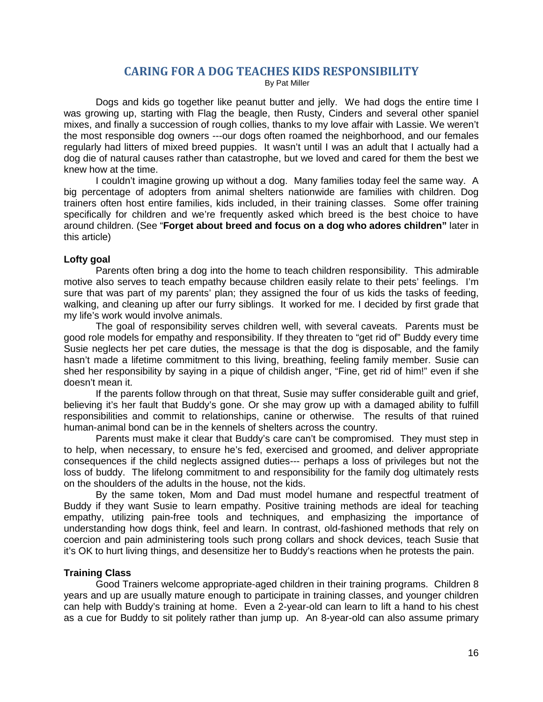## **CARING FOR A DOG TEACHES KIDS RESPONSIBILITY**

By Pat Miller

<span id="page-15-0"></span>Dogs and kids go together like peanut butter and jelly. We had dogs the entire time I was growing up, starting with Flag the beagle, then Rusty, Cinders and several other spaniel mixes, and finally a succession of rough collies, thanks to my love affair with Lassie. We weren't the most responsible dog owners ---our dogs often roamed the neighborhood, and our females regularly had litters of mixed breed puppies. It wasn't until I was an adult that I actually had a dog die of natural causes rather than catastrophe, but we loved and cared for them the best we knew how at the time.

I couldn't imagine growing up without a dog. Many families today feel the same way. A big percentage of adopters from animal shelters nationwide are families with children. Dog trainers often host entire families, kids included, in their training classes. Some offer training specifically for children and we're frequently asked which breed is the best choice to have around children. (See "**Forget about breed and focus on a dog who adores children"** later in this article)

#### **Lofty goal**

Parents often bring a dog into the home to teach children responsibility. This admirable motive also serves to teach empathy because children easily relate to their pets' feelings. I'm sure that was part of my parents' plan; they assigned the four of us kids the tasks of feeding, walking, and cleaning up after our furry siblings. It worked for me. I decided by first grade that my life's work would involve animals.

The goal of responsibility serves children well, with several caveats. Parents must be good role models for empathy and responsibility. If they threaten to "get rid of" Buddy every time Susie neglects her pet care duties, the message is that the dog is disposable, and the family hasn't made a lifetime commitment to this living, breathing, feeling family member. Susie can shed her responsibility by saying in a pique of childish anger, "Fine, get rid of him!" even if she doesn't mean it.

If the parents follow through on that threat, Susie may suffer considerable guilt and grief, believing it's her fault that Buddy's gone. Or she may grow up with a damaged ability to fulfill responsibilities and commit to relationships, canine or otherwise. The results of that ruined human-animal bond can be in the kennels of shelters across the country.

Parents must make it clear that Buddy's care can't be compromised. They must step in to help, when necessary, to ensure he's fed, exercised and groomed, and deliver appropriate consequences if the child neglects assigned duties--- perhaps a loss of privileges but not the loss of buddy. The lifelong commitment to and responsibility for the family dog ultimately rests on the shoulders of the adults in the house, not the kids.

By the same token, Mom and Dad must model humane and respectful treatment of Buddy if they want Susie to learn empathy. Positive training methods are ideal for teaching empathy, utilizing pain-free tools and techniques, and emphasizing the importance of understanding how dogs think, feel and learn. In contrast, old-fashioned methods that rely on coercion and pain administering tools such prong collars and shock devices, teach Susie that it's OK to hurt living things, and desensitize her to Buddy's reactions when he protests the pain.

## **Training Class**

Good Trainers welcome appropriate-aged children in their training programs. Children 8 years and up are usually mature enough to participate in training classes, and younger children can help with Buddy's training at home. Even a 2-year-old can learn to lift a hand to his chest as a cue for Buddy to sit politely rather than jump up. An 8-year-old can also assume primary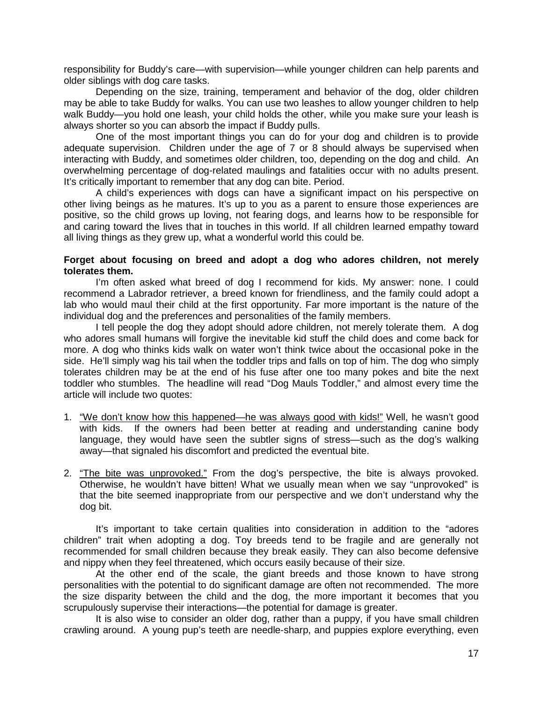responsibility for Buddy's care—with supervision—while younger children can help parents and older siblings with dog care tasks.

Depending on the size, training, temperament and behavior of the dog, older children may be able to take Buddy for walks. You can use two leashes to allow younger children to help walk Buddy—you hold one leash, your child holds the other, while you make sure your leash is always shorter so you can absorb the impact if Buddy pulls.

One of the most important things you can do for your dog and children is to provide adequate supervision. Children under the age of 7 or 8 should always be supervised when interacting with Buddy, and sometimes older children, too, depending on the dog and child. An overwhelming percentage of dog-related maulings and fatalities occur with no adults present. It's critically important to remember that any dog can bite. Period.

A child's experiences with dogs can have a significant impact on his perspective on other living beings as he matures. It's up to you as a parent to ensure those experiences are positive, so the child grows up loving, not fearing dogs, and learns how to be responsible for and caring toward the lives that in touches in this world. If all children learned empathy toward all living things as they grew up, what a wonderful world this could be.

#### **Forget about focusing on breed and adopt a dog who adores children, not merely tolerates them.**

I'm often asked what breed of dog I recommend for kids. My answer: none. I could recommend a Labrador retriever, a breed known for friendliness, and the family could adopt a lab who would maul their child at the first opportunity. Far more important is the nature of the individual dog and the preferences and personalities of the family members.

I tell people the dog they adopt should adore children, not merely tolerate them. A dog who adores small humans will forgive the inevitable kid stuff the child does and come back for more. A dog who thinks kids walk on water won't think twice about the occasional poke in the side. He'll simply wag his tail when the toddler trips and falls on top of him. The dog who simply tolerates children may be at the end of his fuse after one too many pokes and bite the next toddler who stumbles. The headline will read "Dog Mauls Toddler," and almost every time the article will include two quotes:

- 1. "We don't know how this happened—he was always good with kids!" Well, he wasn't good with kids. If the owners had been better at reading and understanding canine body language, they would have seen the subtler signs of stress—such as the dog's walking away—that signaled his discomfort and predicted the eventual bite.
- 2. "The bite was unprovoked." From the dog's perspective, the bite is always provoked. Otherwise, he wouldn't have bitten! What we usually mean when we say "unprovoked" is that the bite seemed inappropriate from our perspective and we don't understand why the dog bit.

It's important to take certain qualities into consideration in addition to the "adores children" trait when adopting a dog. Toy breeds tend to be fragile and are generally not recommended for small children because they break easily. They can also become defensive and nippy when they feel threatened, which occurs easily because of their size.

At the other end of the scale, the giant breeds and those known to have strong personalities with the potential to do significant damage are often not recommended. The more the size disparity between the child and the dog, the more important it becomes that you scrupulously supervise their interactions—the potential for damage is greater.

It is also wise to consider an older dog, rather than a puppy, if you have small children crawling around. A young pup's teeth are needle-sharp, and puppies explore everything, even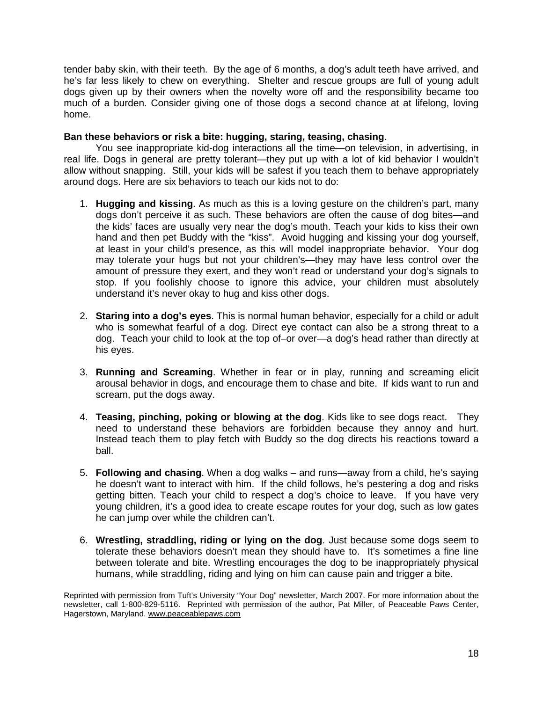tender baby skin, with their teeth. By the age of 6 months, a dog's adult teeth have arrived, and he's far less likely to chew on everything. Shelter and rescue groups are full of young adult dogs given up by their owners when the novelty wore off and the responsibility became too much of a burden. Consider giving one of those dogs a second chance at at lifelong, loving home.

#### **Ban these behaviors or risk a bite: hugging, staring, teasing, chasing**.

You see inappropriate kid-dog interactions all the time—on television, in advertising, in real life. Dogs in general are pretty tolerant—they put up with a lot of kid behavior I wouldn't allow without snapping. Still, your kids will be safest if you teach them to behave appropriately around dogs. Here are six behaviors to teach our kids not to do:

- 1. **Hugging and kissing**. As much as this is a loving gesture on the children's part, many dogs don't perceive it as such. These behaviors are often the cause of dog bites—and the kids' faces are usually very near the dog's mouth. Teach your kids to kiss their own hand and then pet Buddy with the "kiss". Avoid hugging and kissing your dog yourself, at least in your child's presence, as this will model inappropriate behavior. Your dog may tolerate your hugs but not your children's—they may have less control over the amount of pressure they exert, and they won't read or understand your dog's signals to stop. If you foolishly choose to ignore this advice, your children must absolutely understand it's never okay to hug and kiss other dogs.
- 2. **Staring into a dog's eyes**. This is normal human behavior, especially for a child or adult who is somewhat fearful of a dog. Direct eye contact can also be a strong threat to a dog. Teach your child to look at the top of–or over—a dog's head rather than directly at his eyes.
- 3. **Running and Screaming**. Whether in fear or in play, running and screaming elicit arousal behavior in dogs, and encourage them to chase and bite. If kids want to run and scream, put the dogs away.
- 4. **Teasing, pinching, poking or blowing at the dog**. Kids like to see dogs react. They need to understand these behaviors are forbidden because they annoy and hurt. Instead teach them to play fetch with Buddy so the dog directs his reactions toward a ball.
- 5. **Following and chasing**. When a dog walks and runs—away from a child, he's saying he doesn't want to interact with him. If the child follows, he's pestering a dog and risks getting bitten. Teach your child to respect a dog's choice to leave. If you have very young children, it's a good idea to create escape routes for your dog, such as low gates he can jump over while the children can't.
- 6. **Wrestling, straddling, riding or lying on the dog**. Just because some dogs seem to tolerate these behaviors doesn't mean they should have to. It's sometimes a fine line between tolerate and bite. Wrestling encourages the dog to be inappropriately physical humans, while straddling, riding and lying on him can cause pain and trigger a bite.

Reprinted with permission from Tuft's University "Your Dog" newsletter, March 2007. For more information about the newsletter, call 1-800-829-5116. Reprinted with permission of the author, Pat Miller, of Peaceable Paws Center, Hagerstown, Maryland. www.peaceablepaws.com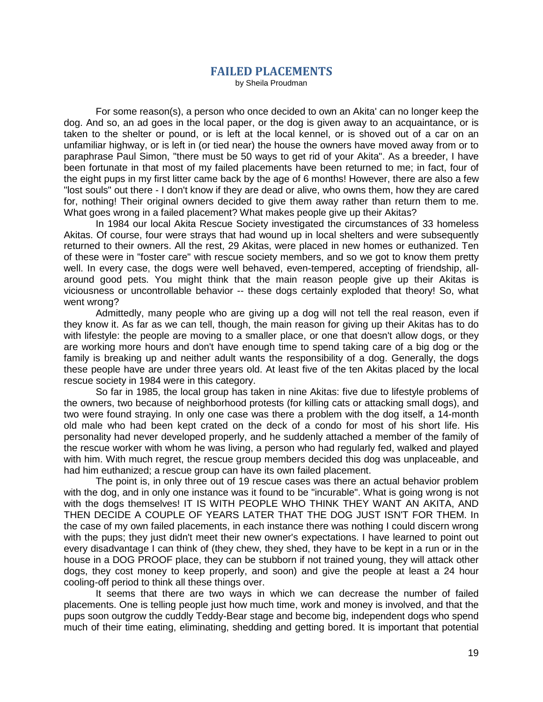#### **FAILED PLACEMENTS** by Sheila Proudman

<span id="page-18-0"></span>For some reason(s), a person who once decided to own an Akita' can no longer keep the dog. And so, an ad goes in the local paper, or the dog is given away to an acquaintance, or is taken to the shelter or pound, or is left at the local kennel, or is shoved out of a car on an unfamiliar highway, or is left in (or tied near) the house the owners have moved away from or to paraphrase Paul Simon, "there must be 50 ways to get rid of your Akita". As a breeder, I have been fortunate in that most of my failed placements have been returned to me; in fact, four of the eight pups in my first litter came back by the age of 6 months! However, there are also a few "lost souls" out there - I don't know if they are dead or alive, who owns them, how they are cared for, nothing! Their original owners decided to give them away rather than return them to me. What goes wrong in a failed placement? What makes people give up their Akitas?

In 1984 our local Akita Rescue Society investigated the circumstances of 33 homeless Akitas. Of course, four were strays that had wound up in local shelters and were subsequently returned to their owners. All the rest, 29 Akitas, were placed in new homes or euthanized. Ten of these were in "foster care" with rescue society members, and so we got to know them pretty well. In every case, the dogs were well behaved, even-tempered, accepting of friendship, allaround good pets. You might think that the main reason people give up their Akitas is viciousness or uncontrollable behavior -- these dogs certainly exploded that theory! So, what went wrong?

Admittedly, many people who are giving up a dog will not tell the real reason, even if they know it. As far as we can tell, though, the main reason for giving up their Akitas has to do with lifestyle: the people are moving to a smaller place, or one that doesn't allow dogs, or they are working more hours and don't have enough time to spend taking care of a big dog or the family is breaking up and neither adult wants the responsibility of a dog. Generally, the dogs these people have are under three years old. At least five of the ten Akitas placed by the local rescue society in 1984 were in this category.

So far in 1985, the local group has taken in nine Akitas: five due to lifestyle problems of the owners, two because of neighborhood protests (for killing cats or attacking small dogs), and two were found straying. In only one case was there a problem with the dog itself, a 14-month old male who had been kept crated on the deck of a condo for most of his short life. His personality had never developed properly, and he suddenly attached a member of the family of the rescue worker with whom he was living, a person who had regularly fed, walked and played with him. With much regret, the rescue group members decided this dog was unplaceable, and had him euthanized; a rescue group can have its own failed placement.

The point is, in only three out of 19 rescue cases was there an actual behavior problem with the dog, and in only one instance was it found to be "incurable". What is going wrong is not with the dogs themselves! IT IS WITH PEOPLE WHO THINK THEY WANT AN AKITA, AND THEN DECIDE A COUPLE OF YEARS LATER THAT THE DOG JUST ISN'T FOR THEM. In the case of my own failed placements, in each instance there was nothing I could discern wrong with the pups; they just didn't meet their new owner's expectations. I have learned to point out every disadvantage I can think of (they chew, they shed, they have to be kept in a run or in the house in a DOG PROOF place, they can be stubborn if not trained young, they will attack other dogs, they cost money to keep properly, and soon) and give the people at least a 24 hour cooling-off period to think all these things over.

It seems that there are two ways in which we can decrease the number of failed placements. One is telling people just how much time, work and money is involved, and that the pups soon outgrow the cuddly Teddy-Bear stage and become big, independent dogs who spend much of their time eating, eliminating, shedding and getting bored. It is important that potential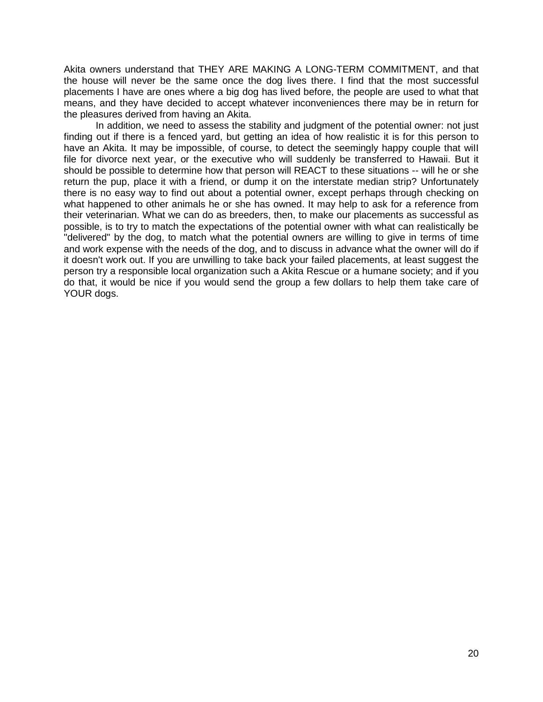Akita owners understand that THEY ARE MAKING A LONG-TERM COMMITMENT, and that the house will never be the same once the dog lives there. I find that the most successful placements I have are ones where a big dog has lived before, the people are used to what that means, and they have decided to accept whatever inconveniences there may be in return for the pleasures derived from having an Akita.

In addition, we need to assess the stability and judgment of the potential owner: not just finding out if there is a fenced yard, but getting an idea of how realistic it is for this person to have an Akita. It may be impossible, of course, to detect the seemingly happy couple that wiII file for divorce next year, or the executive who will suddenly be transferred to Hawaii. But it should be possible to determine how that person will REACT to these situations -- will he or she return the pup, place it with a friend, or dump it on the interstate median strip? Unfortunately there is no easy way to find out about a potential owner, except perhaps through checking on what happened to other animals he or she has owned. It may help to ask for a reference from their veterinarian. What we can do as breeders, then, to make our placements as successful as possible, is to try to match the expectations of the potential owner with what can realistically be "delivered" by the dog, to match what the potential owners are willing to give in terms of time and work expense with the needs of the dog, and to discuss in advance what the owner will do if it doesn't work out. If you are unwilling to take back your failed placements, at least suggest the person try a responsible local organization such a Akita Rescue or a humane society; and if you do that, it would be nice if you would send the group a few dollars to help them take care of YOUR dogs.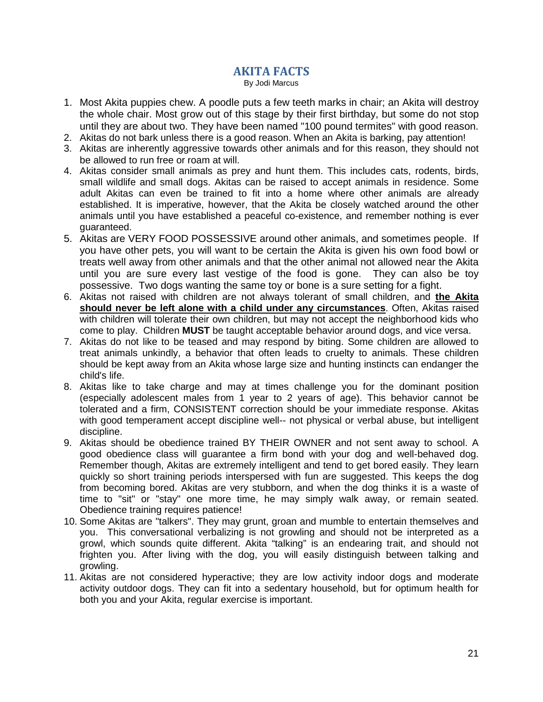#### **AKITA FACTS** By Jodi Marcus

- <span id="page-20-0"></span>1. Most Akita puppies chew. A poodle puts a few teeth marks in chair; an Akita will destroy the whole chair. Most grow out of this stage by their first birthday, but some do not stop until they are about two. They have been named "100 pound termites" with good reason.
- 2. Akitas do not bark unless there is a good reason. When an Akita is barking, pay attention!
- 3. Akitas are inherently aggressive towards other animals and for this reason, they should not be allowed to run free or roam at will.
- 4. Akitas consider small animals as prey and hunt them. This includes cats, rodents, birds, small wildlife and small dogs. Akitas can be raised to accept animals in residence. Some adult Akitas can even be trained to fit into a home where other animals are already established. It is imperative, however, that the Akita be closely watched around the other animals until you have established a peaceful co-existence, and remember nothing is ever guaranteed.
- 5. Akitas are VERY FOOD POSSESSIVE around other animals, and sometimes people. If you have other pets, you will want to be certain the Akita is given his own food bowl or treats well away from other animals and that the other animal not allowed near the Akita until you are sure every last vestige of the food is gone. They can also be toy possessive. Two dogs wanting the same toy or bone is a sure setting for a fight.
- 6. Akitas not raised with children are not always tolerant of small children, and **the Akita should never be left alone with a child under any circumstances**. Often, Akitas raised with children will tolerate their own children, but may not accept the neighborhood kids who come to play. Children **MUST** be taught acceptable behavior around dogs, and vice versa.
- 7. Akitas do not like to be teased and may respond by biting. Some children are allowed to treat animals unkindly, a behavior that often leads to cruelty to animals. These children should be kept away from an Akita whose large size and hunting instincts can endanger the child's life.
- 8. Akitas like to take charge and may at times challenge you for the dominant position (especially adolescent males from 1 year to 2 years of age). This behavior cannot be tolerated and a firm, CONSISTENT correction should be your immediate response. Akitas with good temperament accept discipline well-- not physical or verbal abuse, but intelligent discipline.
- 9. Akitas should be obedience trained BY THEIR OWNER and not sent away to school. A good obedience class will guarantee a firm bond with your dog and well-behaved dog. Remember though, Akitas are extremely intelligent and tend to get bored easily. They learn quickly so short training periods interspersed with fun are suggested. This keeps the dog from becoming bored. Akitas are very stubborn, and when the dog thinks it is a waste of time to "sit" or "stay" one more time, he may simply walk away, or remain seated. Obedience training requires patience!
- 10. Some Akitas are "talkers". They may grunt, groan and mumble to entertain themselves and you. This conversational verbalizing is not growling and should not be interpreted as a growl, which sounds quite different. Akita "talking" is an endearing trait, and should not frighten you. After living with the dog, you will easily distinguish between talking and growling.
- 11. Akitas are not considered hyperactive; they are low activity indoor dogs and moderate activity outdoor dogs. They can fit into a sedentary household, but for optimum health for both you and your Akita, regular exercise is important.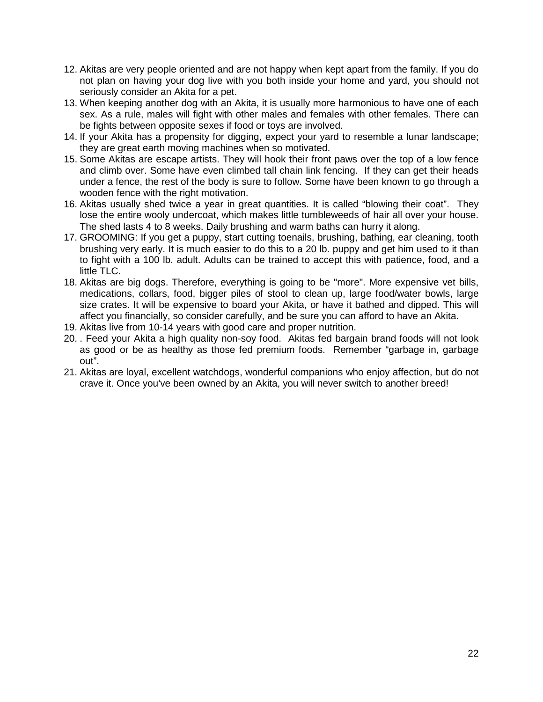- 12. Akitas are very people oriented and are not happy when kept apart from the family. If you do not plan on having your dog live with you both inside your home and yard, you should not seriously consider an Akita for a pet.
- 13. When keeping another dog with an Akita, it is usually more harmonious to have one of each sex. As a rule, males will fight with other males and females with other females. There can be fights between opposite sexes if food or toys are involved.
- 14. If your Akita has a propensity for digging, expect your yard to resemble a lunar landscape; they are great earth moving machines when so motivated.
- 15. Some Akitas are escape artists. They will hook their front paws over the top of a low fence and climb over. Some have even climbed tall chain link fencing. If they can get their heads under a fence, the rest of the body is sure to follow. Some have been known to go through a wooden fence with the right motivation.
- 16. Akitas usually shed twice a year in great quantities. It is called "blowing their coat". They lose the entire wooly undercoat, which makes little tumbleweeds of hair all over your house. The shed lasts 4 to 8 weeks. Daily brushing and warm baths can hurry it along.
- 17. GROOMING: If you get a puppy, start cutting toenails, brushing, bathing, ear cleaning, tooth brushing very early. It is much easier to do this to a 20 lb. puppy and get him used to it than to fight with a 100 lb. adult. Adults can be trained to accept this with patience, food, and a little TLC.
- 18. Akitas are big dogs. Therefore, everything is going to be "more". More expensive vet bills, medications, collars, food, bigger piles of stool to clean up, large food/water bowls, large size crates. It will be expensive to board your Akita, or have it bathed and dipped. This will affect you financially, so consider carefully, and be sure you can afford to have an Akita.
- 19. Akitas live from 10-14 years with good care and proper nutrition.
- 20. . Feed your Akita a high quality non-soy food. Akitas fed bargain brand foods will not look as good or be as healthy as those fed premium foods. Remember "garbage in, garbage out".
- 21. Akitas are loyal, excellent watchdogs, wonderful companions who enjoy affection, but do not crave it. Once you've been owned by an Akita, you will never switch to another breed!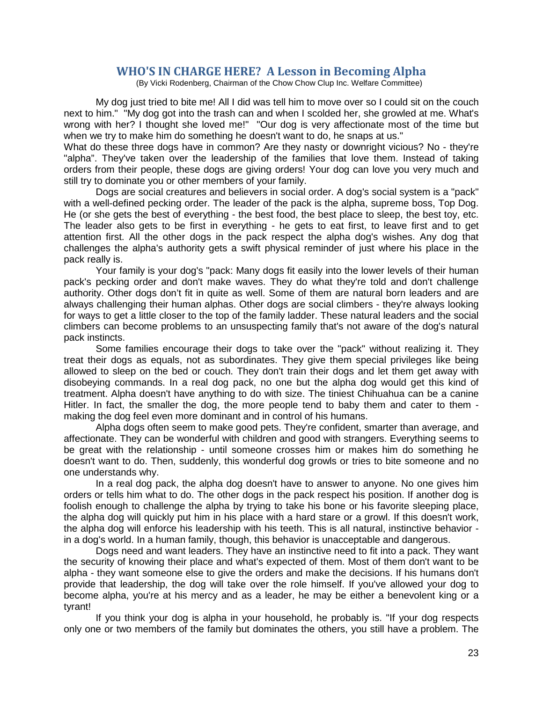### **WHO'S IN CHARGE HERE? A Lesson in Becoming Alpha**

(By Vicki Rodenberg, Chairman of the Chow Chow Clup Inc. Welfare Committee)

<span id="page-22-0"></span>My dog just tried to bite me! All I did was tell him to move over so I could sit on the couch next to him." "My dog got into the trash can and when I scolded her, she growled at me. What's wrong with her? I thought she loved me!" "Our dog is very affectionate most of the time but when we try to make him do something he doesn't want to do, he snaps at us."

What do these three dogs have in common? Are they nasty or downright vicious? No - they're "alpha". They've taken over the leadership of the families that love them. Instead of taking orders from their people, these dogs are giving orders! Your dog can love you very much and still try to dominate you or other members of your family.

Dogs are social creatures and believers in social order. A dog's social system is a "pack" with a well-defined pecking order. The leader of the pack is the alpha, supreme boss, Top Dog. He (or she gets the best of everything - the best food, the best place to sleep, the best toy, etc. The leader also gets to be first in everything - he gets to eat first, to leave first and to get attention first. All the other dogs in the pack respect the alpha dog's wishes. Any dog that challenges the alpha's authority gets a swift physical reminder of just where his place in the pack really is.

Your family is your dog's "pack: Many dogs fit easily into the lower levels of their human pack's pecking order and don't make waves. They do what they're told and don't challenge authority. Other dogs don't fit in quite as well. Some of them are natural born leaders and are always challenging their human alphas. Other dogs are social climbers - they're always looking for ways to get a little closer to the top of the family ladder. These natural leaders and the social climbers can become problems to an unsuspecting family that's not aware of the dog's natural pack instincts.

Some families encourage their dogs to take over the "pack" without realizing it. They treat their dogs as equals, not as subordinates. They give them special privileges like being allowed to sleep on the bed or couch. They don't train their dogs and let them get away with disobeying commands. In a real dog pack, no one but the alpha dog would get this kind of treatment. Alpha doesn't have anything to do with size. The tiniest Chihuahua can be a canine Hitler. In fact, the smaller the dog, the more people tend to baby them and cater to them making the dog feel even more dominant and in control of his humans.

Alpha dogs often seem to make good pets. They're confident, smarter than average, and affectionate. They can be wonderful with children and good with strangers. Everything seems to be great with the relationship - until someone crosses him or makes him do something he doesn't want to do. Then, suddenly, this wonderful dog growls or tries to bite someone and no one understands why.

In a real dog pack, the alpha dog doesn't have to answer to anyone. No one gives him orders or tells him what to do. The other dogs in the pack respect his position. If another dog is foolish enough to challenge the alpha by trying to take his bone or his favorite sleeping place, the alpha dog will quickly put him in his place with a hard stare or a growl. If this doesn't work, the alpha dog will enforce his leadership with his teeth. This is all natural, instinctive behavior in a dog's world. In a human family, though, this behavior is unacceptable and dangerous.

Dogs need and want leaders. They have an instinctive need to fit into a pack. They want the security of knowing their place and what's expected of them. Most of them don't want to be alpha - they want someone else to give the orders and make the decisions. If his humans don't provide that leadership, the dog will take over the role himself. If you've allowed your dog to become alpha, you're at his mercy and as a leader, he may be either a benevolent king or a tyrant!

If you think your dog is alpha in your household, he probably is. "If your dog respects only one or two members of the family but dominates the others, you still have a problem. The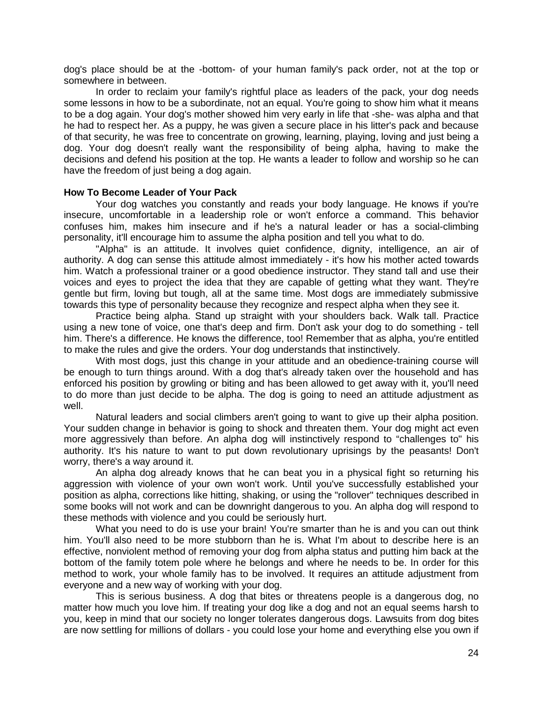dog's place should be at the -bottom- of your human family's pack order, not at the top or somewhere in between.

In order to reclaim your family's rightful place as leaders of the pack, your dog needs some lessons in how to be a subordinate, not an equal. You're going to show him what it means to be a dog again. Your dog's mother showed him very early in life that -she- was alpha and that he had to respect her. As a puppy, he was given a secure place in his litter's pack and because of that security, he was free to concentrate on growing, learning, playing, loving and just being a dog. Your dog doesn't really want the responsibility of being alpha, having to make the decisions and defend his position at the top. He wants a leader to follow and worship so he can have the freedom of just being a dog again.

#### **How To Become Leader of Your Pack**

Your dog watches you constantly and reads your body language. He knows if you're insecure, uncomfortable in a leadership role or won't enforce a command. This behavior confuses him, makes him insecure and if he's a natural leader or has a social-climbing personality, it'll encourage him to assume the alpha position and tell you what to do.

"Alpha" is an attitude. It involves quiet confidence, dignity, intelligence, an air of authority. A dog can sense this attitude almost immediately - it's how his mother acted towards him. Watch a professional trainer or a good obedience instructor. They stand tall and use their voices and eyes to project the idea that they are capable of getting what they want. They're gentle but firm, loving but tough, all at the same time. Most dogs are immediately submissive towards this type of personality because they recognize and respect alpha when they see it.

Practice being alpha. Stand up straight with your shoulders back. Walk tall. Practice using a new tone of voice, one that's deep and firm. Don't ask your dog to do something - tell him. There's a difference. He knows the difference, too! Remember that as alpha, you're entitled to make the rules and give the orders. Your dog understands that instinctively.

With most dogs, just this change in your attitude and an obedience-training course will be enough to turn things around. With a dog that's already taken over the household and has enforced his position by growling or biting and has been allowed to get away with it, you'll need to do more than just decide to be alpha. The dog is going to need an attitude adjustment as well.

Natural leaders and social climbers aren't going to want to give up their alpha position. Your sudden change in behavior is going to shock and threaten them. Your dog might act even more aggressively than before. An alpha dog will instinctively respond to "challenges to" his authority. It's his nature to want to put down revolutionary uprisings by the peasants! Don't worry, there's a way around it.

An alpha dog already knows that he can beat you in a physical fight so returning his aggression with violence of your own won't work. Until you've successfully established your position as alpha, corrections like hitting, shaking, or using the "rollover" techniques described in some books will not work and can be downright dangerous to you. An alpha dog will respond to these methods with violence and you could be seriously hurt.

What you need to do is use your brain! You're smarter than he is and you can out think him. You'll also need to be more stubborn than he is. What I'm about to describe here is an effective, nonviolent method of removing your dog from alpha status and putting him back at the bottom of the family totem pole where he belongs and where he needs to be. In order for this method to work, your whole family has to be involved. It requires an attitude adjustment from everyone and a new way of working with your dog.

This is serious business. A dog that bites or threatens people is a dangerous dog, no matter how much you love him. If treating your dog like a dog and not an equal seems harsh to you, keep in mind that our society no longer tolerates dangerous dogs. Lawsuits from dog bites are now settling for millions of dollars - you could lose your home and everything else you own if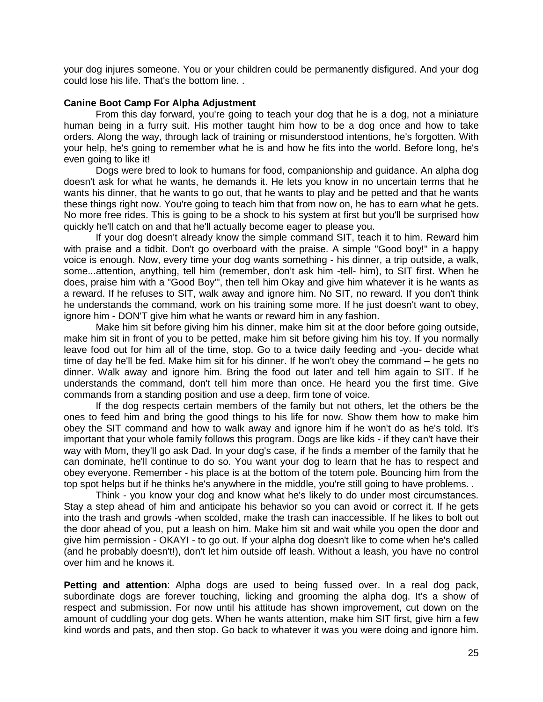your dog injures someone. You or your children could be permanently disfigured. And your dog could lose his life. That's the bottom line. .

#### **Canine Boot Camp For Alpha Adjustment**

From this day forward, you're going to teach your dog that he is a dog, not a miniature human being in a furry suit. His mother taught him how to be a dog once and how to take orders. Along the way, through lack of training or misunderstood intentions, he's forgotten. With your help, he's going to remember what he is and how he fits into the world. Before long, he's even going to like it!

Dogs were bred to look to humans for food, companionship and guidance. An alpha dog doesn't ask for what he wants, he demands it. He lets you know in no uncertain terms that he wants his dinner, that he wants to go out, that he wants to play and be petted and that he wants these things right now. You're going to teach him that from now on, he has to earn what he gets. No more free rides. This is going to be a shock to his system at first but you'll be surprised how quickly he'll catch on and that he'll actually become eager to please you.

If your dog doesn't already know the simple command SIT, teach it to him. Reward him with praise and a tidbit. Don't go overboard with the praise. A simple "Good boy!" in a happy voice is enough. Now, every time your dog wants something - his dinner, a trip outside, a walk, some...attention, anything, tell him (remember, don't ask him -tell- him), to SIT first. When he does, praise him with a "Good Boy"', then tell him Okay and give him whatever it is he wants as a reward. If he refuses to SIT, walk away and ignore him. No SIT, no reward. If you don't think he understands the command, work on his training some more. If he just doesn't want to obey, ignore him - DON'T give him what he wants or reward him in any fashion.

Make him sit before giving him his dinner, make him sit at the door before going outside, make him sit in front of you to be petted, make him sit before giving him his toy. If you normally leave food out for him all of the time, stop. Go to a twice daily feeding and -you- decide what time of day he'll be fed. Make him sit for his dinner. If he won't obey the command – he gets no dinner. Walk away and ignore him. Bring the food out later and tell him again to SIT. If he understands the command, don't tell him more than once. He heard you the first time. Give commands from a standing position and use a deep, firm tone of voice.

If the dog respects certain members of the family but not others, let the others be the ones to feed him and bring the good things to his life for now. Show them how to make him obey the SIT command and how to walk away and ignore him if he won't do as he's told. It's important that your whole family follows this program. Dogs are like kids - if they can't have their way with Mom, they'll go ask Dad. In your dog's case, if he finds a member of the family that he can dominate, he'll continue to do so. You want your dog to learn that he has to respect and obey everyone. Remember - his place is at the bottom of the totem pole. Bouncing him from the top spot helps but if he thinks he's anywhere in the middle, you're still going to have problems. .

Think - you know your dog and know what he's likely to do under most circumstances. Stay a step ahead of him and anticipate his behavior so you can avoid or correct it. If he gets into the trash and growls -when scolded, make the trash can inaccessible. If he likes to bolt out the door ahead of you, put a leash on him. Make him sit and wait while you open the door and give him permission - OKAYI - to go out. If your alpha dog doesn't like to come when he's called (and he probably doesn't!), don't let him outside off leash. Without a leash, you have no control over him and he knows it.

**Petting and attention**: Alpha dogs are used to being fussed over. In a real dog pack, subordinate dogs are forever touching, licking and grooming the alpha dog. It's a show of respect and submission. For now until his attitude has shown improvement, cut down on the amount of cuddling your dog gets. When he wants attention, make him SIT first, give him a few kind words and pats, and then stop. Go back to whatever it was you were doing and ignore him.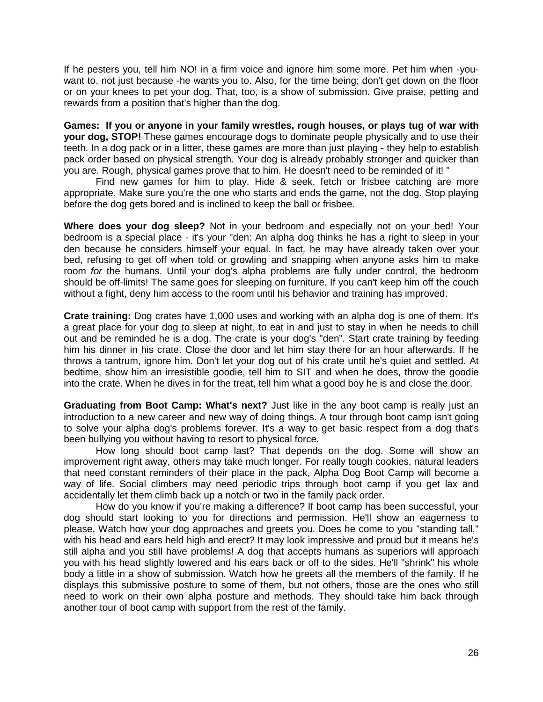If he pesters you, tell him NO! in a firm voice and ignore him some more. Pet him when -youwant to, not just because -he wants you to. Also, for the time being; don't get down on the floor or on your knees to pet your dog. That, too, is a show of submission. Give praise, petting and rewards from a position that's higher than the dog.

**Games: If you or anyone in your family wrestles, rough houses, or plays tug of war with your dog, STOP!** These games encourage dogs to dominate people physically and to use their teeth. In a dog pack or in a litter, these games are more than just playing - they help to establish pack order based on physical strength. Your dog is already probably stronger and quicker than you are. Rough, physical games prove that to him. He doesn't need to be reminded of it! "

Find new games for him to play. Hide & seek, fetch or frisbee catching are more appropriate. Make sure you're the one who starts and ends the game, not the dog. Stop playing before the dog gets bored and is inclined to keep the ball or frisbee.

**Where does your dog sleep?** Not in your bedroom and especially not on your bed! Your bedroom is a special place - it's your "den: An alpha dog thinks he has a right to sleep in your den because he considers himself your equal. In fact*,* he may have already taken over your bed, refusing to get off when told or growling and snapping when anyone asks him to make room *for* the humans. Until your dog's alpha problems are fully under control, the bedroom should be off-limits! The same goes for sleeping on furniture. If you can't keep him off the couch without a fight, deny him access to the room until his behavior and training has improved.

**Crate training:** Dog crates have 1,000 uses and working with an alpha dog is one of them. It's a great place for your dog to sleep at night, to eat in and just to stay in when he needs to chill out and be reminded he is a dog. The crate is your dog's "den". Start crate training by feeding him his dinner in his crate. Close the door and let him stay there for an hour afterwards. If he throws a tantrum, ignore him. Don't let your dog out of his crate until he's quiet and settled. At bedtime, show him an irresistible goodie, tell him to SIT and when he does, throw the goodie into the crate. When he dives in for the treat, tell him what a good boy he is and close the door.

**Graduating from Boot Camp: What's next?** Just like in the any boot camp is really just an introduction to a new career and new way of doing things. A tour through boot camp isn't going to solve your alpha dog's problems forever. It's a way to get basic respect from a dog that's been bullying you without having to resort to physical force*.* 

How long should boot camp last? That depends on the dog. Some will show an improvement right away, others may take much longer. For really tough cookies, natural leaders that need constant reminders of their place in the pack, Alpha Dog Boot Camp will become a way of life. Social climbers may need periodic trips through boot camp if you get lax and accidentally let them climb back up a notch or two in the family pack order.

How do you know if you're making a difference? If boot camp has been successful, your dog should start looking to you for directions and permission. He'll show an eagerness to please. Watch how your dog approaches and greets you. Does he come to you "standing tall," with his head and ears held high and erect? It may look impressive and proud but it means he's still alpha and you still have problems! A dog that accepts humans as superiors will approach you with his head slightly lowered and his ears back or off to the sides. He'll "shrink" his whole body a little in a show of submission. Watch how he greets all the members of the family. If he displays this submissive posture to some of them, but not others, those are the ones who still need to work on their own alpha posture and methods. They should take him back through another tour of boot camp with support from the rest of the family.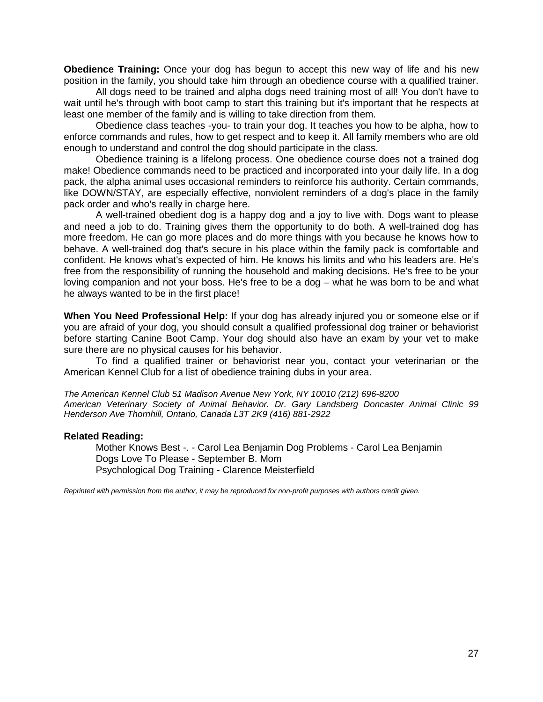**Obedience Training:** Once your dog has begun to accept this new way of life and his new position in the family, you should take him through an obedience course with a qualified trainer.

All dogs need to be trained and alpha dogs need training most of all! You don't have to wait until he's through with boot camp to start this training but it's important that he respects at least one member of the family and is willing to take direction from them.

Obedience class teaches -you- to train your dog. It teaches you how to be alpha, how to enforce commands and rules, how to get respect and to keep it. All family members who are old enough to understand and control the dog should participate in the class.

Obedience training is a lifelong process. One obedience course does not a trained dog make! Obedience commands need to be practiced and incorporated into your daily life. In a dog pack, the alpha animal uses occasional reminders to reinforce his authority. Certain commands, like DOWN/STAY, are especially effective, nonviolent reminders of a dog's place in the family pack order and who's really in charge here.

A well-trained obedient dog is a happy dog and a joy to live with. Dogs want to please and need a job to do. Training gives them the opportunity to do both. A well-trained dog has more freedom. He can go more places and do more things with you because he knows how to behave. A well-trained dog that's secure in his place within the family pack is comfortable and confident. He knows what's expected of him. He knows his limits and who his leaders are. He's free from the responsibility of running the household and making decisions. He's free to be your loving companion and not your boss. He's free to be a dog – what he was born to be and what he always wanted to be in the first place!

**When You Need Professional Help:** If your dog has already injured you or someone else or if you are afraid of your dog, you should consult a qualified professional dog trainer or behaviorist before starting Canine Boot Camp. Your dog should also have an exam by your vet to make sure there are no physical causes for his behavior.

To find a qualified trainer or behaviorist near you, contact your veterinarian or the American Kennel Club for a list of obedience training dubs in your area.

*The American Kennel Club 51 Madison Avenue New York, NY 10010 (212) 696-8200 American Veterinary Society of Animal Behavior. Dr. Gary Landsberg Doncaster Animal Clinic 99 Henderson Ave Thornhill, Ontario, Canada L3T 2K9 (416) 881-2922*

#### **Related Reading:**

Mother Knows Best -. - Carol Lea Benjamin Dog Problems - Carol Lea Benjamin Dogs Love To Please - September B. Mom Psychological Dog Training - Clarence Meisterfield

*Reprinted with permission from the author, it may be reproduced for non-profit purposes with authors credit given.*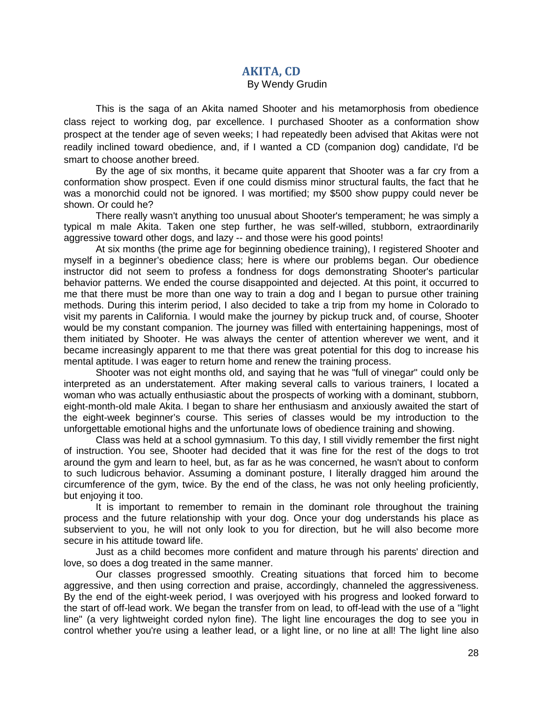## **AKITA, CD**

By Wendy Grudin

<span id="page-27-0"></span>This is the saga of an Akita named Shooter and his metamorphosis from obedience class reject to working dog, par excellence. I purchased Shooter as a conformation show prospect at the tender age of seven weeks; I had repeatedly been advised that Akitas were not readily inclined toward obedience, and, if I wanted a CD (companion dog) candidate, I'd be smart to choose another breed.

By the age of six months, it became quite apparent that Shooter was a far cry from a conformation show prospect. Even if one could dismiss minor structural faults, the fact that he was a monorchid could not be ignored. I was mortified; my \$500 show puppy could never be shown. Or could he?

There really wasn't anything too unusual about Shooter's temperament; he was simply a typical m male Akita. Taken one step further, he was self-willed, stubborn, extraordinarily aggressive toward other dogs, and lazy -- and those were his good points!

At six months (the prime age for beginning obedience training), I registered Shooter and myself in a beginner's obedience class; here is where our problems began. Our obedience instructor did not seem to profess a fondness for dogs demonstrating Shooter's particular behavior patterns. We ended the course disappointed and dejected. At this point, it occurred to me that there must be more than one way to train a dog and I began to pursue other training methods. During this interim period, I also decided to take a trip from my home in Colorado to visit my parents in California. I would make the journey by pickup truck and, of course, Shooter would be my constant companion. The journey was filled with entertaining happenings, most of them initiated by Shooter. He was always the center of attention wherever we went, and it became increasingly apparent to me that there was great potential for this dog to increase his mental aptitude. I was eager to return home and renew the training process.

Shooter was not eight months old, and saying that he was "full of vinegar" could only be interpreted as an understatement. After making several calls to various trainers, I located a woman who was actually enthusiastic about the prospects of working with a dominant, stubborn, eight-month-old male Akita. I began to share her enthusiasm and anxiously awaited the start of the eight-week beginner's course. This series of classes would be my introduction to the unforgettable emotional highs and the unfortunate lows of obedience training and showing.

Class was held at a school gymnasium. To this day, I still vividly remember the first night of instruction. You see, Shooter had decided that it was fine for the rest of the dogs to trot around the gym and learn to heel, but, as far as he was concerned, he wasn't about to conform to such ludicrous behavior. Assuming a dominant posture, I literally dragged him around the circumference of the gym, twice. By the end of the class, he was not only heeling proficiently, but enjoying it too.

It is important to remember to remain in the dominant role throughout the training process and the future relationship with your dog. Once your dog understands his place as subservient to you, he will not only look to you for direction, but he will also become more secure in his attitude toward life.

Just as a child becomes more confident and mature through his parents' direction and love, so does a dog treated in the same manner.

Our classes progressed smoothly. Creating situations that forced him to become aggressive, and then using correction and praise, accordingly, channeled the aggressiveness. By the end of the eight-week period, I was overjoyed with his progress and looked forward to the start of off-lead work. We began the transfer from on lead, to off-lead with the use of a "light line" (a very lightweight corded nylon fine). The light line encourages the dog to see you in control whether you're using a leather lead, or a light line, or no line at all! The light line also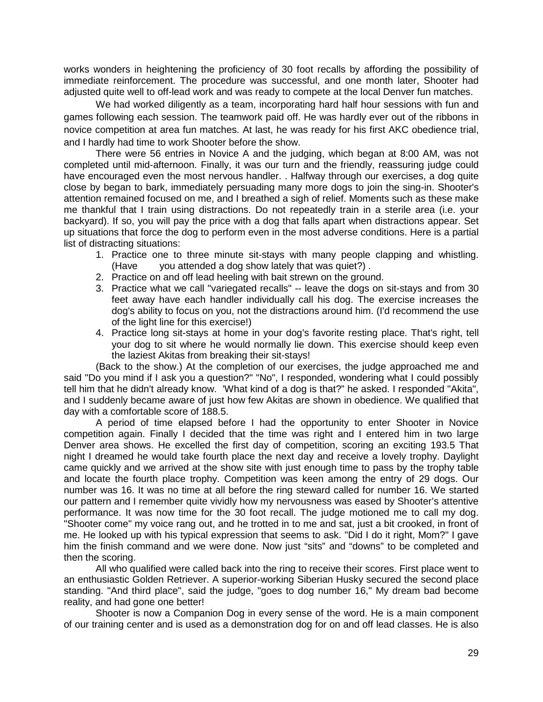works wonders in heightening the proficiency of 30 foot recalls by affording the possibility of immediate reinforcement. The procedure was successful, and one month later, Shooter had adjusted quite well to off-lead work and was ready to compete at the local Denver fun matches.

We had worked diligently as a team, incorporating hard half hour sessions with fun and games following each session. The teamwork paid off. He was hardly ever out of the ribbons in novice competition at area fun matches. At last, he was ready for his first AKC obedience trial, and I hardly had time to work Shooter before the show.

There were 56 entries in Novice A and the judging, which began at 8:00 AM, was not completed until mid-afternoon. Finally, it was our turn and the friendly, reassuring judge could have encouraged even the most nervous handler. . Halfway through our exercises, a dog quite close by began to bark, immediately persuading many more dogs to join the sing-in. Shooter's attention remained focused on me, and I breathed a sigh of relief. Moments such as these make me thankful that I train using distractions. Do not repeatedly train in a sterile area (i.e. your backyard). If so, you will pay the price with a dog that falls apart when distractions appear. Set up situations that force the dog to perform even in the most adverse conditions. Here is a partial list of distracting situations:

- 1. Practice one to three minute sit-stays with many people clapping and whistling. (Have you attended a dog show lately that was quiet?) .
- 2. Practice on and off lead heeling with bait strewn on the ground.
- 3. Practice what we call "variegated recalls" -- leave the dogs on sit-stays and from 30 feet away have each handler individually call his dog. The exercise increases the dog's ability to focus on you, not the distractions around him. (I'd recommend the use of the light line for this exercise!)
- 4. Practice long sit-stays at home in your dog's favorite resting place. That's right, tell your dog to sit where he would normally lie down. This exercise should keep even the laziest Akitas from breaking their sit-stays!

(Back to the show.) At the completion of our exercises, the judge approached me and said "Do you mind if I ask you a question?" "No", I responded, wondering what I could possibly tell him that he didn't already know. 'What kind of a dog is that?" he asked. I responded "Akita", and I suddenly became aware of just how few Akitas are shown in obedience. We qualified that day with a comfortable score of 188.5.

A period of time elapsed before I had the opportunity to enter Shooter in Novice competition again. Finally I decided that the time was right and I entered him in two large Denver area shows. He excelled the first day of competition, scoring an exciting 193.5 That night I dreamed he would take fourth place the next day and receive a lovely trophy. Daylight came quickly and we arrived at the show site with just enough time to pass by the trophy table and locate the fourth place trophy. Competition was keen among the entry of 29 dogs. Our number was 16. It was no time at all before the ring steward called for number 16. We started our pattern and I remember quite vividly how my nervousness was eased by Shooter's attentive performance. It was now time for the 30 foot recall. The judge motioned me to call my dog. "Shooter come" my voice rang out, and he trotted in to me and sat, just a bit crooked, in front of me. He looked up with his typical expression that seems to ask. "Did I do it right, Mom?" I gave him the finish command and we were done. Now just "sits" and "downs" to be completed and then the scoring.

All who qualified were called back into the ring to receive their scores. First place went to an enthusiastic Golden Retriever. A superior-working Siberian Husky secured the second place standing. "And third place", said the judge, "goes to dog number 16," My dream bad become reality, and had gone one better!

Shooter is now a Companion Dog in every sense of the word. He is a main component of our training center and is used as a demonstration dog for on and off lead classes. He is also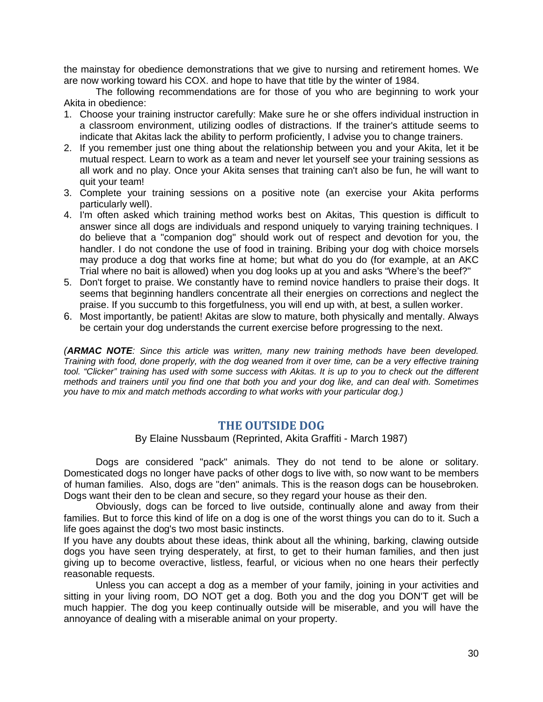the mainstay for obedience demonstrations that we give to nursing and retirement homes. We are now working toward his COX. and hope to have that title by the winter of 1984.

The following recommendations are for those of you who are beginning to work your Akita in obedience:

- 1. Choose your training instructor carefully: Make sure he or she offers individual instruction in a classroom environment, utilizing oodles of distractions. If the trainer's attitude seems to indicate that Akitas lack the ability to perform proficiently, I advise you to change trainers.
- 2. If you remember just one thing about the relationship between you and your Akita, let it be mutual respect. Learn to work as a team and never let yourself see your training sessions as all work and no play. Once your Akita senses that training can't also be fun, he will want to quit your team!
- 3. Complete your training sessions on a positive note (an exercise your Akita performs particularly well).
- 4. I'm often asked which training method works best on Akitas, This question is difficult to answer since all dogs are individuals and respond uniquely to varying training techniques. I do believe that a "companion dog" should work out of respect and devotion for you, the handler. I do not condone the use of food in training. Bribing your dog with choice morsels may produce a dog that works fine at home; but what do you do (for example, at an AKC Trial where no bait is allowed) when you dog looks up at you and asks "Where's the beef?"
- 5. Don't forget to praise. We constantly have to remind novice handlers to praise their dogs. It seems that beginning handlers concentrate all their energies on corrections and neglect the praise. If you succumb to this forgetfulness, you will end up with, at best, a sullen worker.
- 6. Most importantly, be patient! Akitas are slow to mature, both physically and mentally. Always be certain your dog understands the current exercise before progressing to the next.

<span id="page-29-0"></span>*(ARMAC NOTE: Since this article was written, many new training methods have been developed. Training with food, done properly, with the dog weaned from it over time, can be a very effective training tool. "Clicker" training has used with some success with Akitas. It is up to you to check out the different methods and trainers until you find one that both you and your dog like, and can deal with. Sometimes you have to mix and match methods according to what works with your particular dog.)*

## **THE OUTSIDE DOG**

By Elaine Nussbaum (Reprinted, Akita Graffiti - March 1987)

Dogs are considered "pack" animals. They do not tend to be alone or solitary. Domesticated dogs no longer have packs of other dogs to live with, so now want to be members of human families. Also, dogs are "den" animals. This is the reason dogs can be housebroken. Dogs want their den to be clean and secure, so they regard your house as their den.

Obviously, dogs can be forced to live outside, continually alone and away from their families. But to force this kind of life on a dog is one of the worst things you can do to it. Such a life goes against the dog's two most basic instincts.

If you have any doubts about these ideas, think about all the whining, barking, clawing outside dogs you have seen trying desperately, at first, to get to their human families, and then just giving up to become overactive, listless, fearful, or vicious when no one hears their perfectly reasonable requests.

Unless you can accept a dog as a member of your family, joining in your activities and sitting in your living room, DO NOT get a dog. Both you and the dog you DON'T get will be much happier. The dog you keep continually outside will be miserable, and you will have the annoyance of dealing with a miserable animal on your property.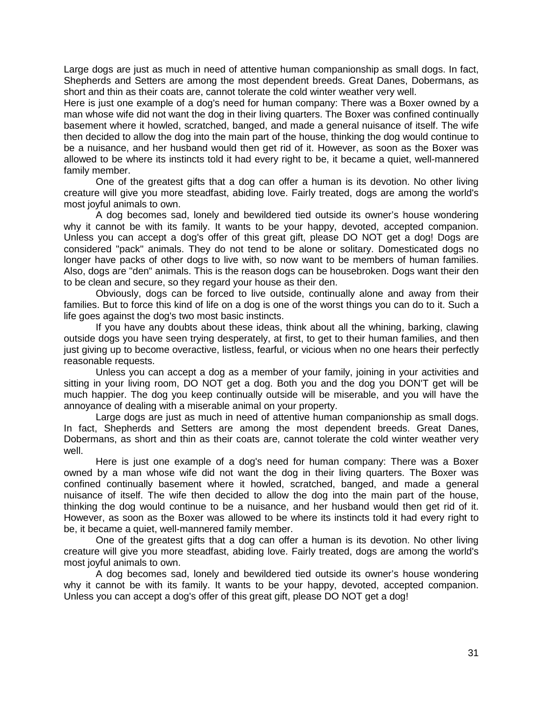Large dogs are just as much in need of attentive human companionship as small dogs. In fact, Shepherds and Setters are among the most dependent breeds. Great Danes, Dobermans, as short and thin as their coats are, cannot tolerate the cold winter weather very well.

Here is just one example of a dog's need for human company: There was a Boxer owned by a man whose wife did not want the dog in their living quarters. The Boxer was confined continually basement where it howled, scratched, banged, and made a general nuisance of itself. The wife then decided to allow the dog into the main part of the house, thinking the dog would continue to be a nuisance, and her husband would then get rid of it. However, as soon as the Boxer was allowed to be where its instincts told it had every right to be, it became a quiet, well-mannered family member.

One of the greatest gifts that a dog can offer a human is its devotion. No other living creature will give you more steadfast, abiding love. Fairly treated, dogs are among the world's most joyful animals to own.

A dog becomes sad, lonely and bewildered tied outside its owner's house wondering why it cannot be with its family. It wants to be your happy, devoted, accepted companion. Unless you can accept a dog's offer of this great gift, please DO NOT get a dog! Dogs are considered "pack" animals. They do not tend to be alone or solitary. Domesticated dogs no longer have packs of other dogs to live with, so now want to be members of human families. Also, dogs are "den" animals. This is the reason dogs can be housebroken. Dogs want their den to be clean and secure, so they regard your house as their den.

Obviously, dogs can be forced to live outside, continually alone and away from their families. But to force this kind of life on a dog is one of the worst things you can do to it. Such a life goes against the dog's two most basic instincts.

If you have any doubts about these ideas, think about all the whining, barking, clawing outside dogs you have seen trying desperately, at first, to get to their human families, and then just giving up to become overactive, listless, fearful, or vicious when no one hears their perfectly reasonable requests.

Unless you can accept a dog as a member of your family, joining in your activities and sitting in your living room, DO NOT get a dog. Both you and the dog you DON'T get will be much happier. The dog you keep continually outside will be miserable, and you will have the annoyance of dealing with a miserable animal on your property.

Large dogs are just as much in need of attentive human companionship as small dogs. In fact, Shepherds and Setters are among the most dependent breeds. Great Danes, Dobermans, as short and thin as their coats are, cannot tolerate the cold winter weather very well.

Here is just one example of a dog's need for human company: There was a Boxer owned by a man whose wife did not want the dog in their living quarters. The Boxer was confined continually basement where it howled, scratched, banged, and made a general nuisance of itself. The wife then decided to allow the dog into the main part of the house, thinking the dog would continue to be a nuisance, and her husband would then get rid of it. However, as soon as the Boxer was allowed to be where its instincts told it had every right to be, it became a quiet, well-mannered family member.

One of the greatest gifts that a dog can offer a human is its devotion. No other living creature will give you more steadfast, abiding love. Fairly treated, dogs are among the world's most joyful animals to own.

A dog becomes sad, lonely and bewildered tied outside its owner's house wondering why it cannot be with its family. It wants to be your happy, devoted, accepted companion. Unless you can accept a dog's offer of this great gift, please DO NOT get a dog!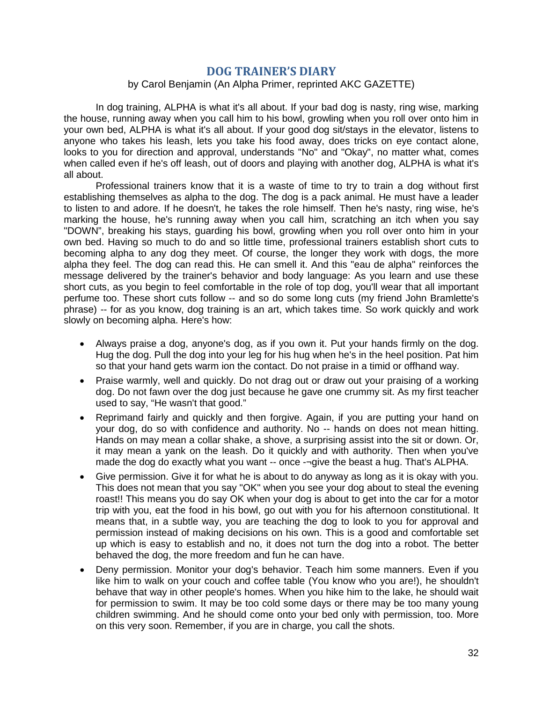# **DOG TRAINER'S DIARY**

# by Carol Benjamin (An Alpha Primer, reprinted AKC GAZETTE)

<span id="page-31-0"></span>In dog training, ALPHA is what it's all about. If your bad dog is nasty, ring wise, marking the house, running away when you call him to his bowl, growling when you roll over onto him in your own bed, ALPHA is what it's all about. If your good dog sit/stays in the elevator, listens to anyone who takes his leash, lets you take his food away, does tricks on eye contact alone, looks to you for direction and approval, understands "No" and "Okay", no matter what, comes when called even if he's off leash, out of doors and playing with another dog, ALPHA is what it's all about.

Professional trainers know that it is a waste of time to try to train a dog without first establishing themselves as alpha to the dog. The dog is a pack animal. He must have a leader to listen to and adore. If he doesn't, he takes the role himself. Then he's nasty, ring wise, he's marking the house, he's running away when you call him, scratching an itch when you say "DOWN", breaking his stays, guarding his bowl, growling when you roll over onto him in your own bed. Having so much to do and so little time, professional trainers establish short cuts to becoming alpha to any dog they meet. Of course, the longer they work with dogs, the more alpha they feel. The dog can read this. He can smell it. And this "eau de alpha" reinforces the message delivered by the trainer's behavior and body language: As you learn and use these short cuts, as you begin to feel comfortable in the role of top dog, you'll wear that all important perfume too. These short cuts follow -- and so do some long cuts (my friend John Bramlette's phrase) -- for as you know, dog training is an art, which takes time. So work quickly and work slowly on becoming alpha. Here's how:

- Always praise a dog, anyone's dog, as if you own it. Put your hands firmly on the dog. Hug the dog. Pull the dog into your leg for his hug when he's in the heel position. Pat him so that your hand gets warm ion the contact. Do not praise in a timid or offhand way.
- Praise warmly, well and quickly. Do not drag out or draw out your praising of a working dog. Do not fawn over the dog just because he gave one crummy sit. As my first teacher used to say. "He wasn't that good."
- Reprimand fairly and quickly and then forgive. Again, if you are putting your hand on your dog, do so with confidence and authority. No -- hands on does not mean hitting. Hands on may mean a collar shake, a shove, a surprising assist into the sit or down. Or, it may mean a yank on the leash. Do it quickly and with authority. Then when you've made the dog do exactly what you want -- once -¬give the beast a hug. That's ALPHA.
- Give permission. Give it for what he is about to do anyway as long as it is okay with you. This does not mean that you say "OK" when you see your dog about to steal the evening roast!! This means you do say OK when your dog is about to get into the car for a motor trip with you, eat the food in his bowl, go out with you for his afternoon constitutional. It means that, in a subtle way, you are teaching the dog to look to you for approval and permission instead of making decisions on his own. This is a good and comfortable set up which is easy to establish and no, it does not turn the dog into a robot. The better behaved the dog, the more freedom and fun he can have.
- Deny permission. Monitor your dog's behavior. Teach him some manners. Even if you like him to walk on your couch and coffee table (You know who you are!), he shouldn't behave that way in other people's homes. When you hike him to the lake, he should wait for permission to swim. It may be too cold some days or there may be too many young children swimming. And he should come onto your bed only with permission, too. More on this very soon. Remember, if you are in charge, you call the shots.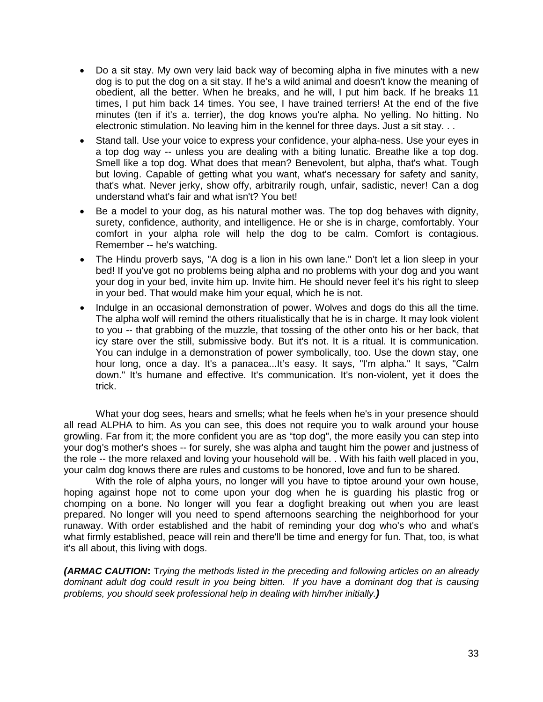- Do a sit stay. My own very laid back way of becoming alpha in five minutes with a new dog is to put the dog on a sit stay. If he's a wild animal and doesn't know the meaning of obedient, all the better. When he breaks, and he will, I put him back. If he breaks 11 times, I put him back 14 times. You see, I have trained terriers! At the end of the five minutes (ten if it's a. terrier), the dog knows you're alpha. No yelling. No hitting. No electronic stimulation. No leaving him in the kennel for three days. Just a sit stay. . .
- Stand tall. Use your voice to express your confidence, your alpha-ness. Use your eyes in a top dog way -- unless you are dealing with a biting lunatic. Breathe like a top dog. Smell like a top dog. What does that mean? Benevolent, but alpha, that's what. Tough but loving. Capable of getting what you want, what's necessary for safety and sanity, that's what. Never jerky, show offy, arbitrarily rough, unfair, sadistic, never! Can a dog understand what's fair and what isn't? You bet!
- Be a model to your dog, as his natural mother was. The top dog behaves with dignity, surety, confidence, authority, and intelligence. He or she is in charge, comfortably. Your comfort in your alpha role will help the dog to be calm. Comfort is contagious. Remember -- he's watching.
- The Hindu proverb says, "A dog is a lion in his own lane." Don't let a lion sleep in your bed! If you've got no problems being alpha and no problems with your dog and you want your dog in your bed, invite him up. Invite him. He should never feel it's his right to sleep in your bed. That would make him your equal, which he is not.
- Indulge in an occasional demonstration of power. Wolves and dogs do this all the time. The alpha wolf will remind the others ritualistically that he is in charge. It may look violent to you -- that grabbing of the muzzle, that tossing of the other onto his or her back, that icy stare over the still, submissive body. But it's not. It is a ritual. It is communication. You can indulge in a demonstration of power symbolically, too. Use the down stay, one hour long, once a day. It's a panacea...It's easy. It says, "I'm alpha." It says, "Calm down." It's humane and effective. It's communication. It's non-violent, yet it does the trick.

What your dog sees, hears and smells; what he feels when he's in your presence should all read ALPHA to him. As you can see, this does not require you to walk around your house growling. Far from it; the more confident you are as "top dog", the more easily you can step into your dog's mother's shoes -- for surely, she was alpha and taught him the power and justness of the role -- the more relaxed and loving your household will be. . With his faith well placed in you, your calm dog knows there are rules and customs to be honored, love and fun to be shared.

With the role of alpha yours, no longer will you have to tiptoe around your own house, hoping against hope not to come upon your dog when he is guarding his plastic frog or chomping on a bone. No longer will you fear a dogfight breaking out when you are least prepared. No longer will you need to spend afternoons searching the neighborhood for your runaway. With order established and the habit of reminding your dog who's who and what's what firmly established, peace will rein and there'll be time and energy for fun. That, too, is what it's all about, this living with dogs.

*(ARMAC CAUTION***:** T*rying the methods listed in the preceding and following articles on an already dominant adult dog could result in you being bitten. If you have a dominant dog that is causing problems, you should seek professional help in dealing with him/her initially.)*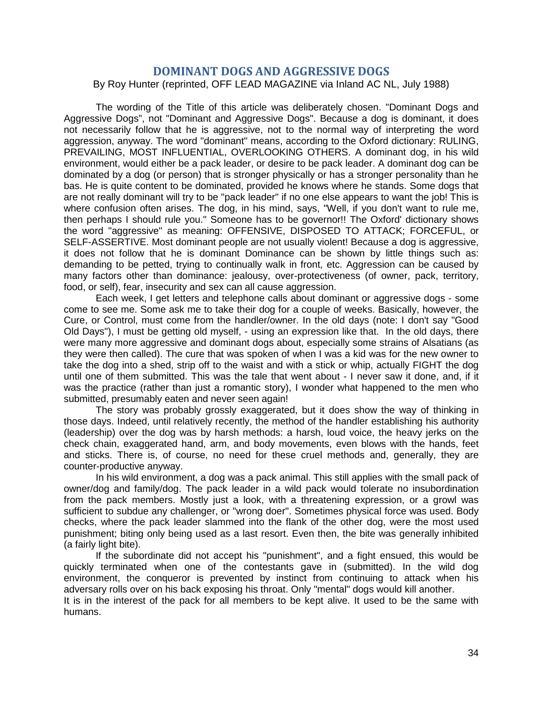## <span id="page-33-0"></span>**DOMINANT DOGS AND AGGRESSIVE DOGS** By Roy Hunter (reprinted, OFF LEAD MAGAZINE via Inland AC NL, July 1988)

The wording of the Title of this article was deliberately chosen. "Dominant Dogs and Aggressive Dogs", not "Dominant and Aggressive Dogs". Because a dog is dominant, it does not necessarily follow that he is aggressive, not to the normal way of interpreting the word aggression, anyway. The word "dominant" means, according to the Oxford dictionary: RULING, PREVAILING, MOST INFLUENTIAL, OVERLOOKING OTHERS. A dominant dog, in his wild environment, would either be a pack leader, or desire to be pack leader. A dominant dog can be dominated by a dog (or person) that is stronger physically or has a stronger personality than he bas. He is quite content to be dominated, provided he knows where he stands. Some dogs that are not really dominant will try to be "pack leader" if no one else appears to want the job! This is where confusion often arises. The dog, in his mind, says, "Well, if you don't want to rule me, then perhaps I should rule you." Someone has to be governor!! The Oxford' dictionary shows the word "aggressive" as meaning: OFFENSIVE, DISPOSED TO ATTACK; FORCEFUL, or SELF-ASSERTIVE. Most dominant people are not usually violent! Because a dog is aggressive, it does not follow that he is dominant Dominance can be shown by little things such as: demanding to be petted, trying to continually walk in front, etc. Aggression can be caused by many factors other than dominance: jealousy, over-protectiveness (of owner, pack, territory, food, or self), fear, insecurity and sex can all cause aggression.

Each week, I get letters and telephone calls about dominant or aggressive dogs - some come to see me. Some ask me to take their dog for a couple of weeks. Basically, however, the Cure, or Control, must come from the handler/owner. In the old days (note: I don't say "Good Old Days"), I must be getting old myself, - using an expression like that. In the old days, there were many more aggressive and dominant dogs about, especially some strains of Alsatians (as they were then called). The cure that was spoken of when I was a kid was for the new owner to take the dog into a shed, strip off to the waist and with a stick or whip, actually FIGHT the dog until one of them submitted. This was the tale that went about - I never saw it done, and, if it was the practice (rather than just a romantic story), I wonder what happened to the men who submitted, presumably eaten and never seen again!

The story was probably grossly exaggerated, but it does show the way of thinking in those days. Indeed, until relatively recently, the method of the handler establishing his authority (leadership) over the dog was by harsh methods: a harsh, loud voice, the heavy jerks on the check chain, exaggerated hand, arm, and body movements, even blows with the hands, feet and sticks. There is, of course, no need for these cruel methods and, generally, they are counter-productive anyway.

In his wild environment, a dog was a pack animal. This still applies with the small pack of owner/dog and family/dog. The pack leader in a wild pack would tolerate no insubordination from the pack members. Mostly just a look, with a threatening expression, or a growl was sufficient to subdue any challenger, or "wrong doer". Sometimes physical force was used. Body checks, where the pack leader slammed into the flank of the other dog, were the most used punishment; biting only being used as a last resort. Even then, the bite was generally inhibited (a fairly light bite).

If the subordinate did not accept his "punishment", and a fight ensued, this would be quickly terminated when one of the contestants gave in (submitted). In the wild dog environment, the conqueror is prevented by instinct from continuing to attack when his adversary rolls over on his back exposing his throat. Only "mental" dogs would kill another.

It is in the interest of the pack for all members to be kept alive. It used to be the same with humans.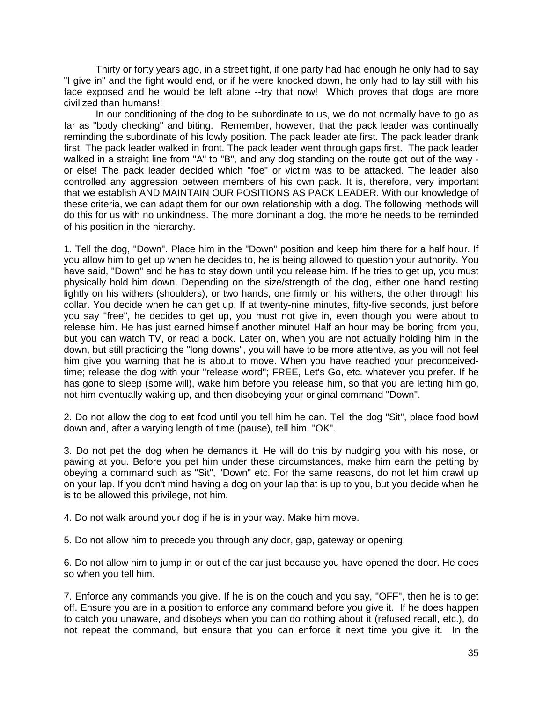Thirty or forty years ago, in a street fight, if one party had had enough he only had to say "I give in" and the fight would end, or if he were knocked down, he only had to lay still with his face exposed and he would be left alone --try that now! Which proves that dogs are more civilized than humans!!

In our conditioning of the dog to be subordinate to us, we do not normally have to go as far as "body checking" and biting. Remember, however, that the pack leader was continually reminding the subordinate of his lowly position. The pack leader ate first. The pack leader drank first. The pack leader walked in front. The pack leader went through gaps first. The pack leader walked in a straight line from "A" to "B", and any dog standing on the route got out of the way or else! The pack leader decided which "foe" or victim was to be attacked. The leader also controlled any aggression between members of his own pack. It is, therefore, very important that we establish AND MAINTAIN OUR POSITIONS AS PACK LEADER. With our knowledge of these criteria, we can adapt them for our own relationship with a dog. The following methods will do this for us with no unkindness. The more dominant a dog, the more he needs to be reminded of his position in the hierarchy.

1. Tell the dog, "Down". Place him in the "Down" position and keep him there for a half hour. If you allow him to get up when he decides to, he is being allowed to question your authority. You have said, "Down" and he has to stay down until you release him. If he tries to get up, you must physically hold him down. Depending on the size/strength of the dog, either one hand resting lightly on his withers (shoulders), or two hands, one firmly on his withers, the other through his collar. You decide when he can get up. If at twenty-nine minutes, fifty-five seconds, just before you say "free", he decides to get up, you must not give in, even though you were about to release him. He has just earned himself another minute! Half an hour may be boring from you, but you can watch TV, or read a book. Later on, when you are not actually holding him in the down, but still practicing the "long downs", you will have to be more attentive, as you will not feel him give you warning that he is about to move. When you have reached your preconceivedtime; release the dog with your "release word"; FREE, Let's Go, etc. whatever you prefer. If he has gone to sleep (some will), wake him before you release him, so that you are letting him go, not him eventually waking up, and then disobeying your original command "Down".

2. Do not allow the dog to eat food until you tell him he can. Tell the dog "Sit", place food bowl down and, after a varying length of time (pause), tell him, "OK".

3. Do not pet the dog when he demands it. He will do this by nudging you with his nose, or pawing at you. Before you pet him under these circumstances, make him earn the petting by obeying a command such as "Sit", "Down" etc. For the same reasons, do not let him crawl up on your lap. If you don't mind having a dog on your lap that is up to you, but you decide when he is to be allowed this privilege, not him.

4. Do not walk around your dog if he is in your way. Make him move.

5. Do not allow him to precede you through any door, gap, gateway or opening.

6. Do not allow him to jump in or out of the car just because you have opened the door. He does so when you tell him.

7. Enforce any commands you give. If he is on the couch and you say, "OFF", then he is to get off. Ensure you are in a position to enforce any command before you give it. If he does happen to catch you unaware, and disobeys when you can do nothing about it (refused recall, etc.), do not repeat the command, but ensure that you can enforce it next time you give it. In the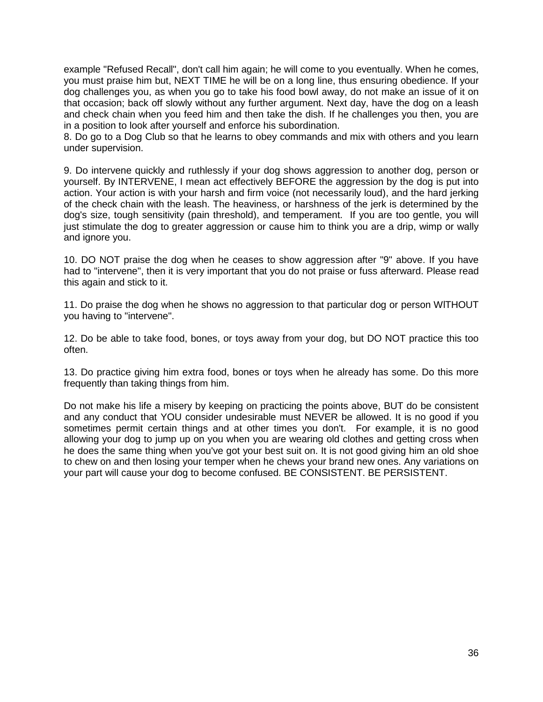example "Refused Recall", don't call him again; he will come to you eventually. When he comes, you must praise him but, NEXT TIME he will be on a long line, thus ensuring obedience. If your dog challenges you, as when you go to take his food bowl away, do not make an issue of it on that occasion; back off slowly without any further argument. Next day, have the dog on a leash and check chain when you feed him and then take the dish. If he challenges you then, you are in a position to look after yourself and enforce his subordination.

8. Do go to a Dog Club so that he learns to obey commands and mix with others and you learn under supervision.

9. Do intervene quickly and ruthlessly if your dog shows aggression to another dog, person or yourself. By INTERVENE, I mean act effectively BEFORE the aggression by the dog is put into action. Your action is with your harsh and firm voice (not necessarily loud), and the hard jerking of the check chain with the leash. The heaviness, or harshness of the jerk is determined by the dog's size, tough sensitivity (pain threshold), and temperament. If you are too gentle, you will just stimulate the dog to greater aggression or cause him to think you are a drip, wimp or wally and ignore you.

10. DO NOT praise the dog when he ceases to show aggression after "9" above. If you have had to "intervene", then it is very important that you do not praise or fuss afterward. Please read this again and stick to it.

11. Do praise the dog when he shows no aggression to that particular dog or person WlTHOUT you having to "intervene".

12. Do be able to take food, bones, or toys away from your dog, but DO NOT practice this too often.

13. Do practice giving him extra food, bones or toys when he already has some. Do this more frequently than taking things from him.

Do not make his life a misery by keeping on practicing the points above, BUT do be consistent and any conduct that YOU consider undesirable must NEVER be allowed. It is no good if you sometimes permit certain things and at other times you don't. For example, it is no good allowing your dog to jump up on you when you are wearing old clothes and getting cross when he does the same thing when you've got your best suit on. It is not good giving him an old shoe to chew on and then losing your temper when he chews your brand new ones. Any variations on your part will cause your dog to become confused. BE CONSISTENT. BE PERSISTENT.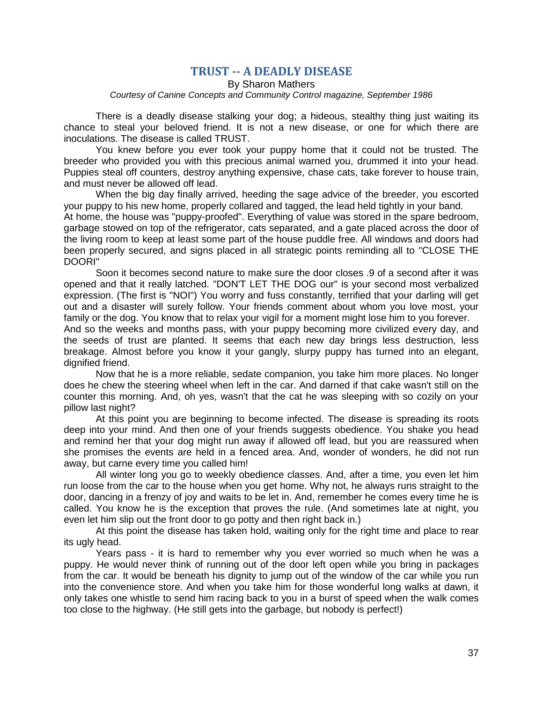## **TRUST -- A DEADLY DISEASE**

By Sharon Mathers

#### *Courtesy of Canine Concepts and Community Control magazine, September 1986*

<span id="page-36-0"></span>There is a deadly disease stalking your dog; a hideous, stealthy thing just waiting its chance to steal your beloved friend. It is not a new disease, or one for which there are inoculations. The disease is called TRUST.

You knew before you ever took your puppy home that it could not be trusted. The breeder who provided you with this precious animal warned you, drummed it into your head. Puppies steal off counters, destroy anything expensive, chase cats, take forever to house train, and must never be allowed off lead.

When the big day finally arrived, heeding the sage advice of the breeder, you escorted your puppy to his new home, properly collared and tagged, the lead held tightly in your band. At home, the house was "puppy-proofed". Everything of value was stored in the spare bedroom,

garbage stowed on top of the refrigerator, cats separated, and a gate placed across the door of the living room to keep at least some part of the house puddle free. All windows and doors had been properly secured, and signs placed in all strategic points reminding all to "CLOSE THE DOORI"

Soon it becomes second nature to make sure the door closes .9 of a second after it was opened and that it really latched. "DON'T LET THE DOG our" is your second most verbalized expression. (The first is "NOI") You worry and fuss constantly, terrified that your darling will get out and a disaster will surely follow. Your friends comment about whom you love most, your family or the dog. You know that to relax your vigil for a moment might lose him to you forever.

And so the weeks and months pass, with your puppy becoming more civilized every day, and the seeds of trust are planted. It seems that each new day brings less destruction, less breakage. Almost before you know it your gangly, slurpy puppy has turned into an elegant, dignified friend.

Now that he is a more reliable, sedate companion, you take him more places. No longer does he chew the steering wheel when left in the car. And darned if that cake wasn't still on the counter this morning. And, oh yes, wasn't that the cat he was sleeping with so cozily on your pillow last night?

At this point you are beginning to become infected. The disease is spreading its roots deep into your mind. And then one of your friends suggests obedience. You shake you head and remind her that your dog might run away if allowed off lead, but you are reassured when she promises the events are held in a fenced area. And, wonder of wonders, he did not run away, but carne every time you called him!

All winter long you go to weekly obedience classes. And, after a time, you even let him run loose from the car to the house when you get home. Why not, he always runs straight to the door, dancing in a frenzy of joy and waits to be let in. And, remember he comes every time he is called. You know he is the exception that proves the rule. (And sometimes late at night, you even let him slip out the front door to go potty and then right back in.)

At this point the disease has taken hold, waiting only for the right time and place to rear its ugly head.

Years pass - it is hard to remember why you ever worried so much when he was a puppy. He would never think of running out of the door left open while you bring in packages from the car. It would be beneath his dignity to jump out of the window of the car while you run into the convenience store. And when you take him for those wonderful long walks at dawn, it only takes one whistle to send him racing back to you in a burst of speed when the walk comes too close to the highway. (He still gets into the garbage, but nobody is perfect!)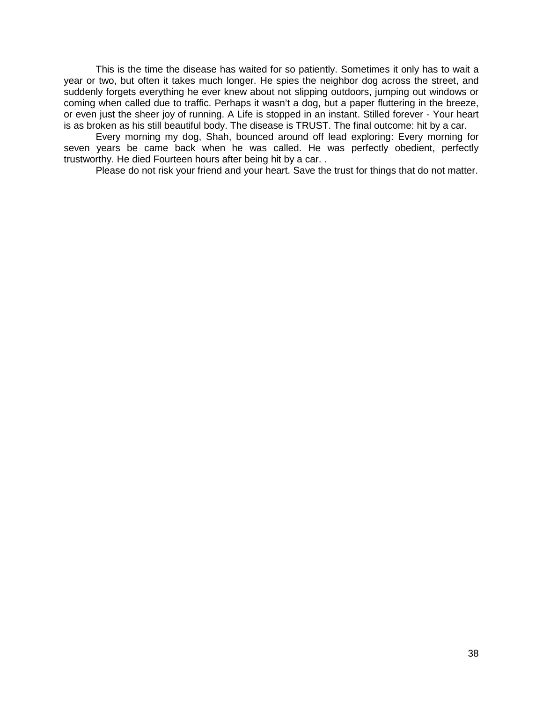This is the time the disease has waited for so patiently. Sometimes it only has to wait a year or two, but often it takes much longer. He spies the neighbor dog across the street, and suddenly forgets everything he ever knew about not slipping outdoors, jumping out windows or coming when called due to traffic. Perhaps it wasn't a dog, but a paper fluttering in the breeze, or even just the sheer joy of running. A Life is stopped in an instant. Stilled forever - Your heart is as broken as his still beautiful body. The disease is TRUST. The final outcome: hit by a car.

Every morning my dog, Shah, bounced around off lead exploring: Every morning for seven years be came back when he was called. He was perfectly obedient, perfectly trustworthy. He died Fourteen hours after being hit by a car. .

Please do not risk your friend and your heart. Save the trust for things that do not matter.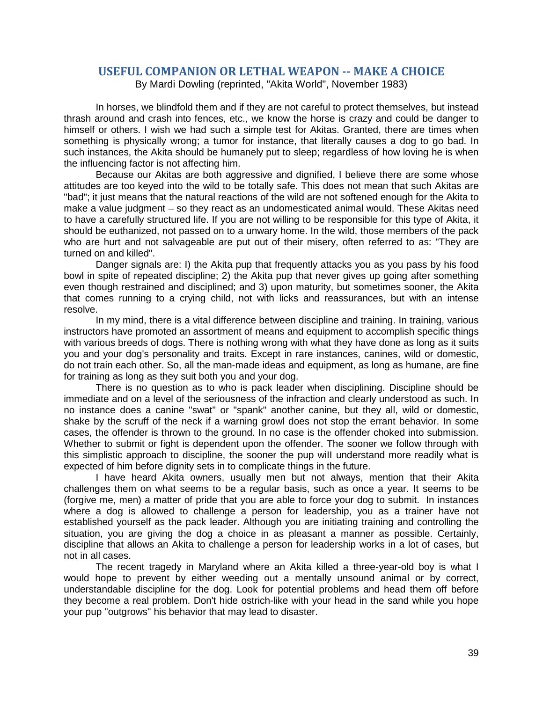### <span id="page-38-0"></span>**USEFUL COMPANION OR LETHAL WEAPON -- MAKE A CHOICE** By Mardi Dowling (reprinted, "Akita World", November 1983)

In horses, we blindfold them and if they are not careful to protect themselves, but instead thrash around and crash into fences, etc., we know the horse is crazy and could be danger to himself or others. I wish we had such a simple test for Akitas. Granted, there are times when something is physically wrong; a tumor for instance, that literally causes a dog to go bad. In such instances, the Akita should be humanely put to sleep; regardless of how loving he is when the influencing factor is not affecting him.

Because our Akitas are both aggressive and dignified, I believe there are some whose attitudes are too keyed into the wild to be totally safe. This does not mean that such Akitas are "bad"; it just means that the natural reactions of the wild are not softened enough for the Akita to make a value judgment – so they react as an undomesticated animal would. These Akitas need to have a carefully structured life. If you are not willing to be responsible for this type of Akita, it should be euthanized, not passed on to a unwary home. In the wild, those members of the pack who are hurt and not salvageable are put out of their misery, often referred to as: "They are turned on and killed".

Danger signals are: I) the Akita pup that frequently attacks you as you pass by his food bowl in spite of repeated discipline; 2) the Akita pup that never gives up going after something even though restrained and disciplined; and 3) upon maturity, but sometimes sooner, the Akita that comes running to a crying child, not with licks and reassurances, but with an intense resolve.

In my mind, there is a vital difference between discipline and training. In training, various instructors have promoted an assortment of means and equipment to accomplish specific things with various breeds of dogs. There is nothing wrong with what they have done as long as it suits you and your dog's personality and traits. Except in rare instances, canines, wild or domestic, do not train each other. So, all the man-made ideas and equipment, as long as humane, are fine for training as long as they suit both you and your dog.

There is no question as to who is pack leader when disciplining. Discipline should be immediate and on a level of the seriousness of the infraction and clearly understood as such. In no instance does a canine "swat" or "spank" another canine, but they all, wild or domestic, shake by the scruff of the neck if a warning growl does not stop the errant behavior. In some cases, the offender is thrown to the ground. In no case is the offender choked into submission. Whether to submit or fight is dependent upon the offender. The sooner we follow through with this simplistic approach to discipline, the sooner the pup wiII understand more readily what is expected of him before dignity sets in to complicate things in the future.

I have heard Akita owners, usually men but not always, mention that their Akita challenges them on what seems to be a regular basis, such as once a year. It seems to be (forgive me, men) a matter of pride that you are able to force your dog to submit. In instances where a dog is allowed to challenge a person for leadership, you as a trainer have not established yourself as the pack leader. Although you are initiating training and controlling the situation, you are giving the dog a choice in as pleasant a manner as possible. Certainly, discipline that allows an Akita to challenge a person for leadership works in a lot of cases, but not in all cases.

The recent tragedy in Maryland where an Akita killed a three-year-old boy is what I would hope to prevent by either weeding out a mentally unsound animal or by correct, understandable discipline for the dog. Look for potential problems and head them off before they become a real problem. Don't hide ostrich-like with your head in the sand while you hope your pup "outgrows" his behavior that may lead to disaster.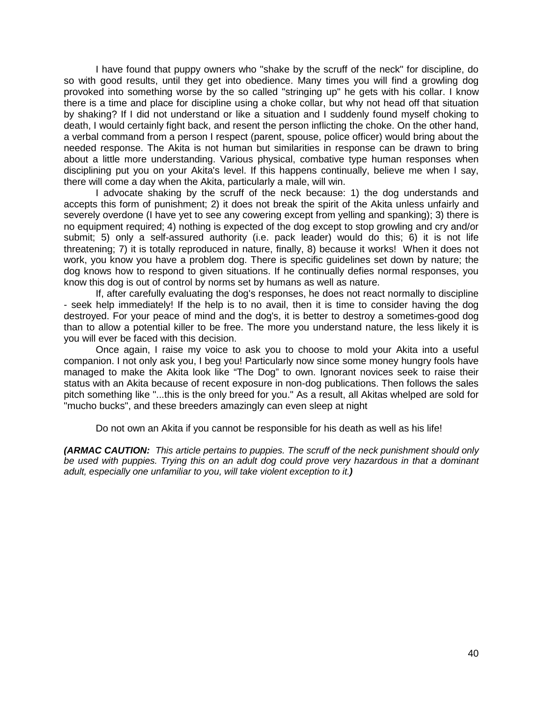I have found that puppy owners who "shake by the scruff of the neck" for discipline, do so with good results, until they get into obedience. Many times you will find a growling dog provoked into something worse by the so called "stringing up" he gets with his collar. I know there is a time and place for discipline using a choke collar, but why not head off that situation by shaking? If I did not understand or like a situation and I suddenly found myself choking to death, I would certainly fight back, and resent the person inflicting the choke. On the other hand, a verbal command from a person I respect (parent, spouse, police officer) would bring about the needed response. The Akita is not human but similarities in response can be drawn to bring about a little more understanding. Various physical, combative type human responses when disciplining put you on your Akita's level. If this happens continually, believe me when I say, there will come a day when the Akita, particularly a male, will win.

I advocate shaking by the scruff of the neck because: 1) the dog understands and accepts this form of punishment; 2) it does not break the spirit of the Akita unless unfairly and severely overdone (I have yet to see any cowering except from yelling and spanking); 3) there is no equipment required; 4) nothing is expected of the dog except to stop growling and cry and/or submit; 5) only a self-assured authority (i.e. pack leader) would do this; 6) it is not life threatening; 7) it is totally reproduced in nature, finally, 8) because it works! When it does not work, you know you have a problem dog. There is specific guidelines set down by nature; the dog knows how to respond to given situations. If he continually defies normal responses, you know this dog is out of control by norms set by humans as well as nature.

If, after carefully evaluating the dog's responses, he does not react normally to discipline - seek help immediately! If the help is to no avail, then it is time to consider having the dog destroyed. For your peace of mind and the dog's, it is better to destroy a sometimes-good dog than to allow a potential killer to be free. The more you understand nature, the less likely it is you will ever be faced with this decision.

Once again, I raise my voice to ask you to choose to mold your Akita into a useful companion. I not only ask you, I beg you! Particularly now since some money hungry fools have managed to make the Akita look like "The Dog" to own. Ignorant novices seek to raise their status with an Akita because of recent exposure in non-dog publications. Then follows the sales pitch something like "...this is the only breed for you." As a result, all Akitas whelped are sold for "mucho bucks", and these breeders amazingly can even sleep at night

Do not own an Akita if you cannot be responsible for his death as well as his life!

*(ARMAC CAUTION: This article pertains to puppies. The scruff of the neck punishment should only be used with puppies. Trying this on an adult dog could prove very hazardous in that a dominant adult, especially one unfamiliar to you, will take violent exception to it.)*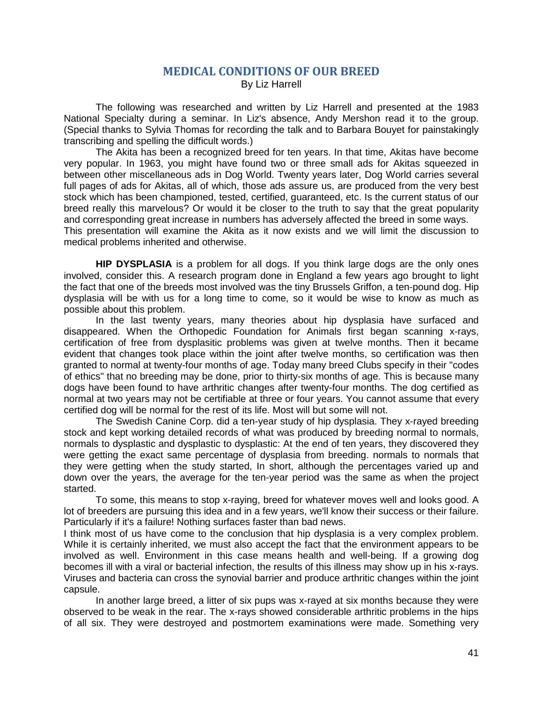## **MEDICAL CONDITIONS OF OUR BREED** By Liz Harrell

<span id="page-40-0"></span>The following was researched and written by Liz Harrell and presented at the 1983 National Specialty during a seminar. In Liz's absence, Andy Mershon read it to the group. (Special thanks to Sylvia Thomas for recording the talk and to Barbara Bouyet for painstakingly transcribing and spelling the difficult words.)

The Akita has been a recognized breed for ten years. In that time, Akitas have become very popular. In 1963, you might have found two or three small ads for Akitas squeezed in between other miscellaneous ads in Dog World. Twenty years later, Dog World carries several full pages of ads for Akitas, all of which, those ads assure us, are produced from the very best stock which has been championed, tested, certified, guaranteed, etc. Is the current status of our breed really this marvelous? Or would it be closer to the truth to say that the great popularity and corresponding great increase in numbers has adversely affected the breed in some ways. This presentation will examine the Akita as it now exists and we will limit the discussion to medical problems inherited and otherwise.

**HIP DYSPLASIA** is a problem for all dogs. If you think large dogs are the only ones involved, consider this. A research program done in England a few years ago brought to light the fact that one of the breeds most involved was the tiny Brussels Griffon, a ten-pound dog. Hip dysplasia will be with us for a long time to come, so it would be wise to know as much as possible about this problem.

In the last twenty years, many theories about hip dysplasia have surfaced and disappeared. When the Orthopedic Foundation for Animals first began scanning x-rays, certification of free from dysplasitic problems was given at twelve months. Then it became evident that changes took place within the joint after twelve months, so certification was then granted to normal at twenty-four months of age. Today many breed Clubs specify in their "codes of ethics" that no breeding may be done, prior to thirty-six months of age. This is because many dogs have been found to have arthritic changes after twenty-four months. The dog certified as normal at two years may not be certifiable at three or four years. You cannot assume that every certified dog will be normal for the rest of its life. Most will but some will not.

The Swedish Canine Corp. did a ten-year study of hip dysplasia. They x-rayed breeding stock and kept working detailed records of what was produced by breeding normal to normals, normals to dysplastic and dysplastic to dysplastic: At the end of ten years, they discovered they were getting the exact same percentage of dysplasia from breeding. normals to normals that they were getting when the study started, In short, although the percentages varied up and down over the years, the average for the ten-year period was the same as when the project started.

To some, this means to stop x-raying, breed for whatever moves well and looks good. A lot of breeders are pursuing this idea and in a few years, we'll know their success or their failure. Particularly if it's a failure! Nothing surfaces faster than bad news.

I think most of us have come to the conclusion that hip dysplasia is a very complex problem. While it is certainly inherited, we must also accept the fact that the environment appears to be involved as well. Environment in this case means health and well-being. If a growing dog becomes ill with a viral or bacterial infection, the results of this illness may show up in his x-rays. Viruses and bacteria can cross the synovial barrier and produce arthritic changes within the joint capsule.

In another large breed, a litter of six pups was x-rayed at six months because they were observed to be weak in the rear. The x-rays showed considerable arthritic problems in the hips of all six. They were destroyed and postmortem examinations were made. Something very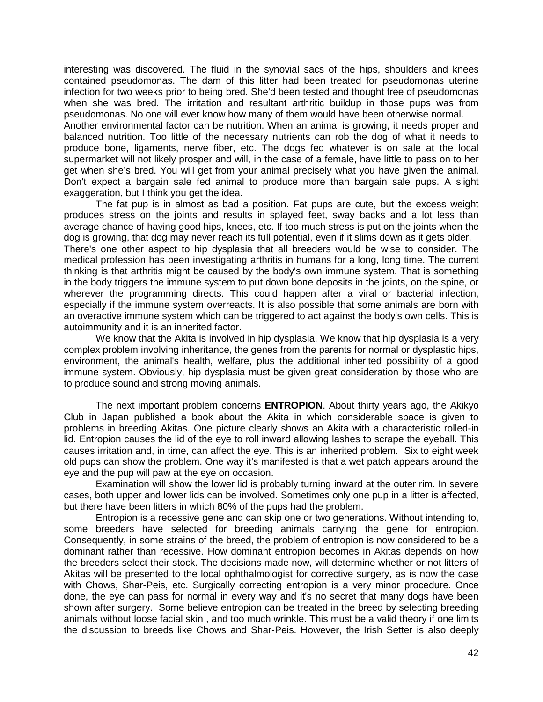interesting was discovered. The fluid in the synovial sacs of the hips, shoulders and knees contained pseudomonas. The dam of this litter had been treated for pseudomonas uterine infection for two weeks prior to being bred. She'd been tested and thought free of pseudomonas when she was bred. The irritation and resultant arthritic buildup in those pups was from pseudomonas. No one will ever know how many of them would have been otherwise normal.

Another environmental factor can be nutrition. When an animal is growing, it needs proper and balanced nutrition. Too little of the necessary nutrients can rob the dog of what it needs to produce bone, ligaments, nerve fiber, etc. The dogs fed whatever is on sale at the local supermarket will not likely prosper and will, in the case of a female, have little to pass on to her get when she's bred. You will get from your animal precisely what you have given the animal. Don't expect a bargain sale fed animal to produce more than bargain sale pups. A slight exaggeration, but I think you get the idea.

The fat pup is in almost as bad a position. Fat pups are cute, but the excess weight produces stress on the joints and results in splayed feet, sway backs and a lot less than average chance of having good hips, knees, etc. If too much stress is put on the joints when the dog is growing, that dog may never reach its full potential, even if it slims down as it gets older. There's one other aspect to hip dysplasia that all breeders would be wise to consider. The medical profession has been investigating arthritis in humans for a long, long time. The current thinking is that arthritis might be caused by the body's own immune system. That is something in the body triggers the immune system to put down bone deposits in the joints, on the spine, or wherever the programming directs. This could happen after a viral or bacterial infection, especially if the immune system overreacts. It is also possible that some animals are born with an overactive immune system which can be triggered to act against the body's own cells. This is autoimmunity and it is an inherited factor.

We know that the Akita is involved in hip dysplasia. We know that hip dysplasia is a very complex problem involving inheritance, the genes from the parents for normal or dysplastic hips, environment, the animal's health, welfare, plus the additional inherited possibility of a good immune system. Obviously, hip dysplasia must be given great consideration by those who are to produce sound and strong moving animals.

The next important problem concerns **ENTROPION**. About thirty years ago, the Akikyo Club in Japan published a book about the Akita in which considerable space is given to problems in breeding Akitas. One picture clearly shows an Akita with a characteristic rolled-in lid. Entropion causes the lid of the eye to roll inward allowing lashes to scrape the eyeball. This causes irritation and, in time, can affect the eye. This is an inherited problem. Six to eight week old pups can show the problem. One way it's manifested is that a wet patch appears around the eye and the pup will paw at the eye on occasion.

Examination will show the lower lid is probably turning inward at the outer rim. In severe cases, both upper and lower lids can be involved. Sometimes only one pup in a litter is affected, but there have been litters in which 80% of the pups had the problem.

Entropion is a recessive gene and can skip one or two generations. Without intending to, some breeders have selected for breeding animals carrying the gene for entropion. Consequently, in some strains of the breed, the problem of entropion is now considered to be a dominant rather than recessive. How dominant entropion becomes in Akitas depends on how the breeders select their stock. The decisions made now, will determine whether or not litters of Akitas will be presented to the local ophthalmologist for corrective surgery, as is now the case with Chows, Shar-Peis, etc. Surgically correcting entropion is a very minor procedure. Once done, the eye can pass for normal in every way and it's no secret that many dogs have been shown after surgery. Some believe entropion can be treated in the breed by selecting breeding animals without loose facial skin , and too much wrinkle. This must be a valid theory if one limits the discussion to breeds like Chows and Shar-Peis. However, the Irish Setter is also deeply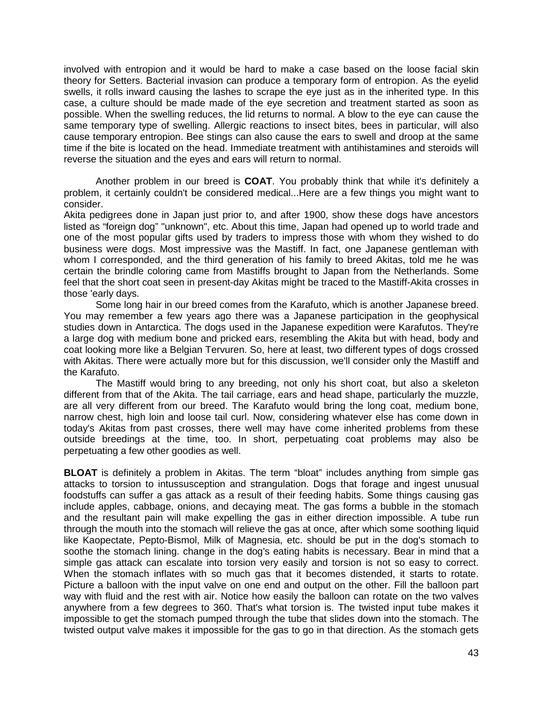involved with entropion and it would be hard to make a case based on the loose facial skin theory for Setters. Bacterial invasion can produce a temporary form of entropion. As the eyelid swells, it rolls inward causing the lashes to scrape the eye just as in the inherited type. In this case, a culture should be made made of the eye secretion and treatment started as soon as possible. When the swelling reduces, the lid returns to normal. A blow to the eye can cause the same temporary type of swelling. Allergic reactions to insect bites, bees in particular, will also cause temporary entropion. Bee stings can also cause the ears to swell and droop at the same time if the bite is located on the head. Immediate treatment with antihistamines and steroids will reverse the situation and the eyes and ears will return to normal.

Another problem in our breed is **COAT**. You probably think that while it's definitely a problem, it certainly couldn't be considered medical...Here are a few things you might want to consider.

Akita pedigrees done in Japan just prior to, and after 1900, show these dogs have ancestors listed as "foreign dog" "unknown", etc. About this time, Japan had opened up to world trade and one of the most popular gifts used by traders to impress those with whom they wished to do business were dogs. Most impressive was the Mastiff. In fact, one Japanese gentleman with whom I corresponded, and the third generation of his family to breed Akitas, told me he was certain the brindle coloring came from Mastiffs brought to Japan from the Netherlands. Some feel that the short coat seen in present-day Akitas might be traced to the Mastiff-Akita crosses in those 'early days.

Some long hair in our breed comes from the Karafuto, which is another Japanese breed. You may remember a few years ago there was a Japanese participation in the geophysical studies down in Antarctica. The dogs used in the Japanese expedition were Karafutos. They're a large dog with medium bone and pricked ears, resembling the Akita but with head, body and coat looking more like a Belgian Tervuren. So, here at least, two different types of dogs crossed with Akitas. There were actually more but for this discussion, we'll consider only the Mastiff and the Karafuto.

The Mastiff would bring to any breeding, not only his short coat, but also a skeleton different from that of the Akita. The tail carriage, ears and head shape, particularly the muzzle, are all very different from our breed. The Karafuto would bring the long coat, medium bone, narrow chest, high loin and loose tail curl. Now, considering whatever else has come down in today's Akitas from past crosses, there well may have come inherited problems from these outside breedings at the time, too. In short, perpetuating coat problems may also be perpetuating a few other goodies as well.

**BLOAT** is definitely a problem in Akitas. The term "bloat" includes anything from simple gas attacks to torsion to intussusception and strangulation. Dogs that forage and ingest unusual foodstuffs can suffer a gas attack as a result of their feeding habits. Some things causing gas include apples, cabbage, onions, and decaying meat. The gas forms a bubble in the stomach and the resultant pain will make expelling the gas in either direction impossible. A tube run through the mouth into the stomach will relieve the gas at once, after which some soothing liquid like Kaopectate, Pepto-Bismol, Milk of Magnesia, etc. should be put in the dog's stomach to soothe the stomach lining. change in the dog's eating habits is necessary. Bear in mind that a simple gas attack can escalate into torsion very easily and torsion is not so easy to correct. When the stomach inflates with so much gas that it becomes distended, it starts to rotate. Picture a balloon with the input valve on one end and output on the other. Fill the balloon part way with fluid and the rest with air. Notice how easily the balloon can rotate on the two valves anywhere from a few degrees to 360. That's what torsion is. The twisted input tube makes it impossible to get the stomach pumped through the tube that slides down into the stomach. The twisted output valve makes it impossible for the gas to go in that direction. As the stomach gets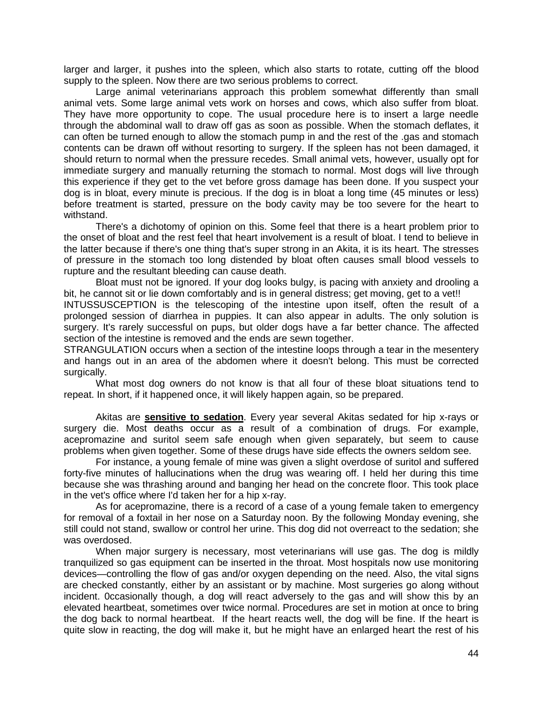larger and larger, it pushes into the spleen, which also starts to rotate, cutting off the blood supply to the spleen. Now there are two serious problems to correct.

Large animal veterinarians approach this problem somewhat differently than small animal vets. Some large animal vets work on horses and cows, which also suffer from bloat. They have more opportunity to cope. The usual procedure here is to insert a large needle through the abdominal wall to draw off gas as soon as possible. When the stomach deflates, it can often be turned enough to allow the stomach pump in and the rest of the .gas and stomach contents can be drawn off without resorting to surgery. If the spleen has not been damaged, it should return to normal when the pressure recedes. Small animal vets, however, usually opt for immediate surgery and manually returning the stomach to normal. Most dogs will live through this experience if they get to the vet before gross damage has been done. If you suspect your dog is in bloat, every minute is precious. If the dog is in bloat a long time (45 minutes or less) before treatment is started, pressure on the body cavity may be too severe for the heart to withstand.

There's a dichotomy of opinion on this. Some feel that there is a heart problem prior to the onset of bloat and the rest feel that heart involvement is a result of bloat. I tend to believe in the latter because if there's one thing that's super strong in an Akita, it is its heart. The stresses of pressure in the stomach too long distended by bloat often causes small blood vessels to rupture and the resultant bleeding can cause death.

Bloat must not be ignored. If your dog looks bulgy, is pacing with anxiety and drooling a bit, he cannot sit or lie down comfortably and is in general distress; get moving, get to a vet!!

INTUSSUSCEPTION is the telescoping of the intestine upon itself, often the result of a prolonged session of diarrhea in puppies. It can also appear in adults. The only solution is surgery. It's rarely successful on pups, but older dogs have a far better chance. The affected section of the intestine is removed and the ends are sewn together.

STRANGULATION occurs when a section of the intestine loops through a tear in the mesentery and hangs out in an area of the abdomen where it doesn't belong. This must be corrected surgically.

What most dog owners do not know is that all four of these bloat situations tend to repeat. In short, if it happened once, it will likely happen again, so be prepared.

Akitas are **sensitive to sedation**. Every year several Akitas sedated for hip x-rays or surgery die. Most deaths occur as a result of a combination of drugs. For example, acepromazine and suritol seem safe enough when given separately, but seem to cause problems when given together. Some of these drugs have side effects the owners seldom see.

For instance, a young female of mine was given a slight overdose of suritol and suffered forty-five minutes of hallucinations when the drug was wearing off. I held her during this time because she was thrashing around and banging her head on the concrete floor. This took place in the vet's office where I'd taken her for a hip x-ray.

As for acepromazine, there is a record of a case of a young female taken to emergency for removal of a foxtail in her nose on a Saturday noon. By the following Monday evening, she still could not stand, swallow or control her urine. This dog did not overreact to the sedation; she was overdosed.

When major surgery is necessary, most veterinarians will use gas. The dog is mildly tranquilized so gas equipment can be inserted in the throat. Most hospitals now use monitoring devices—controlling the flow of gas and/or oxygen depending on the need. Also, the vital signs are checked constantly, either by an assistant or by machine. Most surgeries go along without incident. 0ccasionally though, a dog will react adversely to the gas and will show this by an elevated heartbeat, sometimes over twice normal. Procedures are set in motion at once to bring the dog back to normal heartbeat. If the heart reacts well, the dog will be fine. If the heart is quite slow in reacting, the dog will make it, but he might have an enlarged heart the rest of his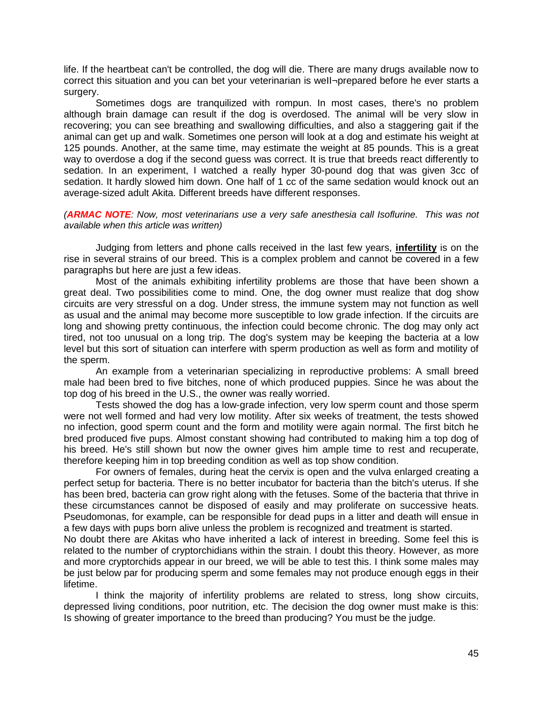life. If the heartbeat can't be controlled, the dog will die. There are many drugs available now to correct this situation and you can bet your veterinarian is weII¬prepared before he ever starts a surgery.

Sometimes dogs are tranquilized with rompun. In most cases, there's no problem although brain damage can result if the dog is overdosed. The animal will be very slow in recovering; you can see breathing and swallowing difficulties, and also a staggering gait if the animal can get up and walk. Sometimes one person will look at a dog and estimate his weight at 125 pounds. Another, at the same time, may estimate the weight at 85 pounds. This is a great way to overdose a dog if the second guess was correct. It is true that breeds react differently to sedation. In an experiment, I watched a really hyper 30-pound dog that was given 3cc of sedation. It hardly slowed him down. One half of 1 cc of the same sedation would knock out an average-sized adult Akita. Different breeds have different responses.

*(ARMAC NOTE: Now, most veterinarians use a very safe anesthesia call Isoflurine. This was not available when this article was written)* 

Judging from letters and phone calls received in the last few years, **infertility** is on the rise in several strains of our breed. This is a complex problem and cannot be covered in a few paragraphs but here are just a few ideas.

Most of the animals exhibiting infertility problems are those that have been shown a great deal. Two possibilities come to mind. One, the dog owner must realize that dog show circuits are very stressful on a dog. Under stress, the immune system may not function as well as usual and the animal may become more susceptible to low grade infection. If the circuits are long and showing pretty continuous, the infection could become chronic. The dog may only act tired, not too unusual on a long trip. The dog's system may be keeping the bacteria at a low level but this sort of situation can interfere with sperm production as well as form and motility of the sperm.

An example from a veterinarian specializing in reproductive problems: A small breed male had been bred to five bitches, none of which produced puppies. Since he was about the top dog of his breed in the U.S., the owner was really worried.

Tests showed the dog has a low-grade infection, very low sperm count and those sperm were not well formed and had very low motility. After six weeks of treatment, the tests showed no infection, good sperm count and the form and motility were again normal. The first bitch he bred produced five pups. Almost constant showing had contributed to making him a top dog of his breed. He's still shown but now the owner gives him ample time to rest and recuperate, therefore keeping him in top breeding condition as well as top show condition.

For owners of females, during heat the cervix is open and the vulva enlarged creating a perfect setup for bacteria. There is no better incubator for bacteria than the bitch's uterus. If she has been bred, bacteria can grow right along with the fetuses. Some of the bacteria that thrive in these circumstances cannot be disposed of easily and may proliferate on successive heats. Pseudomonas, for example, can be responsible for dead pups in a litter and death will ensue in a few days with pups born alive unless the problem is recognized and treatment is started.

No doubt there are Akitas who have inherited a lack of interest in breeding. Some feel this is related to the number of cryptorchidians within the strain. I doubt this theory. However, as more and more cryptorchids appear in our breed, we will be able to test this. I think some males may be just below par for producing sperm and some females may not produce enough eggs in their lifetime.

I think the majority of infertility problems are related to stress, long show circuits, depressed living conditions, poor nutrition, etc. The decision the dog owner must make is this: Is showing of greater importance to the breed than producing? You must be the judge.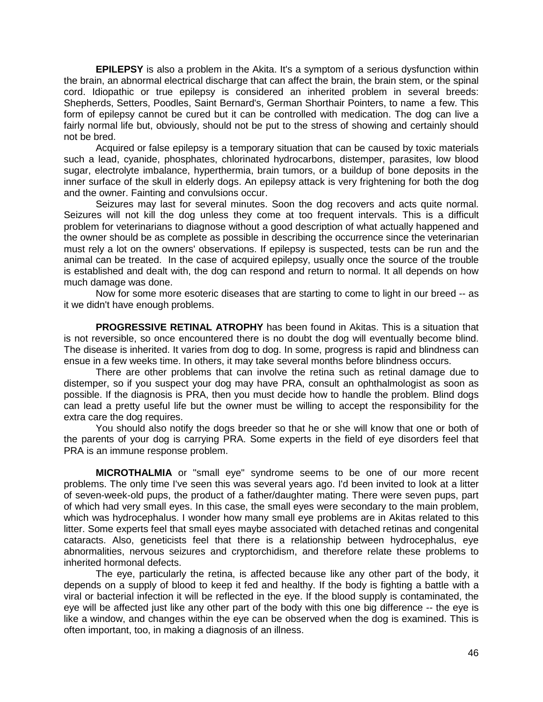**EPILEPSY** is also a problem in the Akita. It's a symptom of a serious dysfunction within the brain, an abnormal electrical discharge that can affect the brain, the brain stem, or the spinal cord. Idiopathic or true epilepsy is considered an inherited problem in several breeds: Shepherds, Setters, Poodles, Saint Bernard's, German Shorthair Pointers, to name a few. This form of epilepsy cannot be cured but it can be controlled with medication. The dog can live a fairly normal life but, obviously, should not be put to the stress of showing and certainly should not be bred.

Acquired or false epilepsy is a temporary situation that can be caused by toxic materials such a lead, cyanide, phosphates, chlorinated hydrocarbons, distemper, parasites, low blood sugar, electrolyte imbalance, hyperthermia, brain tumors, or a buildup of bone deposits in the inner surface of the skull in elderly dogs. An epilepsy attack is very frightening for both the dog and the owner. Fainting and convulsions occur.

Seizures may last for several minutes. Soon the dog recovers and acts quite normal. Seizures will not kill the dog unless they come at too frequent intervals. This is a difficult problem for veterinarians to diagnose without a good description of what actually happened and the owner should be as complete as possible in describing the occurrence since the veterinarian must rely a lot on the owners' observations. If epilepsy is suspected, tests can be run and the animal can be treated. In the case of acquired epilepsy, usually once the source of the trouble is established and dealt with, the dog can respond and return to normal. It all depends on how much damage was done.

Now for some more esoteric diseases that are starting to come to light in our breed -- as it we didn't have enough problems.

**PROGRESSIVE RETINAL ATROPHY** has been found in Akitas. This is a situation that is not reversible, so once encountered there is no doubt the dog will eventually become blind. The disease is inherited. It varies from dog to dog. In some, progress is rapid and blindness can ensue in a few weeks time. In others, it may take several months before blindness occurs.

There are other problems that can involve the retina such as retinal damage due to distemper, so if you suspect your dog may have PRA, consult an ophthalmologist as soon as possible. If the diagnosis is PRA, then you must decide how to handle the problem. Blind dogs can lead a pretty useful life but the owner must be willing to accept the responsibility for the extra care the dog requires.

You should also notify the dogs breeder so that he or she will know that one or both of the parents of your dog is carrying PRA. Some experts in the field of eye disorders feel that PRA is an immune response problem.

**MICROTHALMIA** or "small eye" syndrome seems to be one of our more recent problems. The only time I've seen this was several years ago. I'd been invited to look at a litter of seven-week-old pups, the product of a father/daughter mating. There were seven pups, part of which had very small eyes. In this case, the small eyes were secondary to the main problem, which was hydrocephalus. I wonder how many small eye problems are in Akitas related to this litter. Some experts feel that small eyes maybe associated with detached retinas and congenital cataracts. Also, geneticists feel that there is a relationship between hydrocephalus, eye abnormalities, nervous seizures and cryptorchidism, and therefore relate these problems to inherited hormonal defects.

The eye, particularly the retina, is affected because like any other part of the body, it depends on a supply of blood to keep it fed and healthy. If the body is fighting a battle with a viral or bacterial infection it will be reflected in the eye. If the blood supply is contaminated, the eye will be affected just like any other part of the body with this one big difference -- the eye is like a window, and changes within the eye can be observed when the dog is examined. This is often important, too, in making a diagnosis of an illness.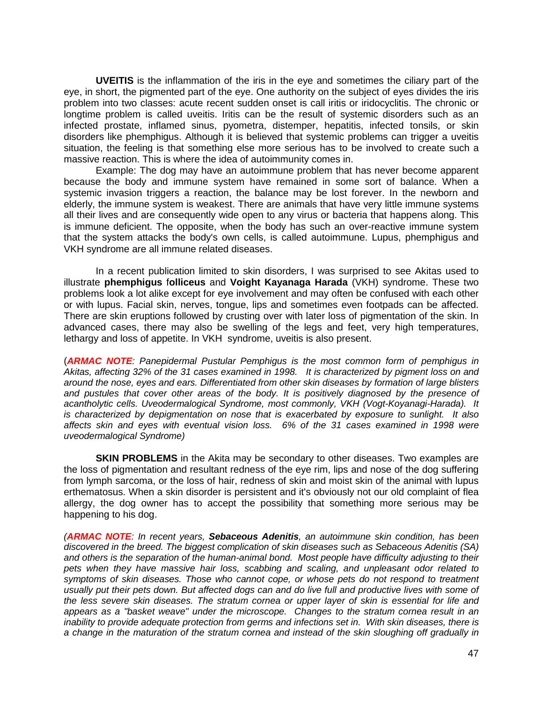**UVEITIS** is the inflammation of the iris in the eye and sometimes the ciliary part of the eye, in short, the pigmented part of the eye. One authority on the subject of eyes divides the iris problem into two classes: acute recent sudden onset is call iritis or iridocyclitis. The chronic or longtime problem is called uveitis. Iritis can be the result of systemic disorders such as an infected prostate, inflamed sinus, pyometra, distemper, hepatitis, infected tonsils, or skin disorders like phemphigus. Although it is believed that systemic problems can trigger a uveitis situation, the feeling is that something else more serious has to be involved to create such a massive reaction. This is where the idea of autoimmunity comes in.

Example: The dog may have an autoimmune problem that has never become apparent because the body and immune system have remained in some sort of balance. When a systemic invasion triggers a reaction, the balance may be lost forever. In the newborn and elderly, the immune system is weakest. There are animals that have very little immune systems all their lives and are consequently wide open to any virus or bacteria that happens along. This is immune deficient. The opposite, when the body has such an over-reactive immune system that the system attacks the body's own cells, is called autoimmune. Lupus, phemphigus and VKH syndrome are all immune related diseases.

In a recent publication limited to skin disorders, I was surprised to see Akitas used to illustrate **phemphigus** f**olliceus** and **Voight Kayanaga Harada** (VKH) syndrome. These two problems look a lot alike except for eye involvement and may often be confused with each other or with lupus. Facial skin, nerves, tongue, lips and sometimes even footpads can be affected. There are skin eruptions followed by crusting over with later loss of pigmentation of the skin. In advanced cases, there may also be swelling of the legs and feet, very high temperatures, lethargy and loss of appetite. In VKH syndrome, uveitis is also present.

(*ARMAC NOTE: Panepidermal Pustular Pemphigus is the most common form of pemphigus in Akitas, affecting 32% of the 31 cases examined in 1998. It is characterized by pigment loss on and around the nose, eyes and ears. Differentiated from other skin diseases by formation of large blisters and pustules that cover other areas of the body. It is positively diagnosed by the presence of acantholytic cells. Uveodermalogical Syndrome, most commonly, VKH (Vogt-Koyanagi-Harada). It is characterized by depigmentation on nose that is exacerbated by exposure to sunlight. It also affects skin and eyes with eventual vision loss. 6% of the 31 cases examined in 1998 were uveodermalogical Syndrome)* 

**SKIN PROBLEMS** in the Akita may be secondary to other diseases. Two examples are the loss of pigmentation and resultant redness of the eye rim, lips and nose of the dog suffering from lymph sarcoma, or the loss of hair, redness of skin and moist skin of the animal with lupus erthematosus. When a skin disorder is persistent and it's obviously not our old complaint of flea allergy, the dog owner has to accept the possibility that something more serious may be happening to his dog.

*(ARMAC NOTE: In recent years, Sebaceous Adenitis, an autoimmune skin condition, has been discovered in the breed. The biggest complication of skin diseases such as Sebaceous Adenitis (SA) and others is the separation of the human-animal bond. Most people have difficulty adjusting to their pets when they have massive hair loss, scabbing and scaling, and unpleasant odor related to symptoms of skin diseases. Those who cannot cope, or whose pets do not respond to treatment usually put their pets down. But affected dogs can and do live full and productive lives with some of the less severe skin diseases. The stratum cornea or upper layer of skin is essential for life and appears as a "basket weave" under the microscope. Changes to the stratum cornea result in an inability to provide adequate protection from germs and infections set in. With skin diseases, there is a change in the maturation of the stratum cornea and instead of the skin sloughing off gradually in*